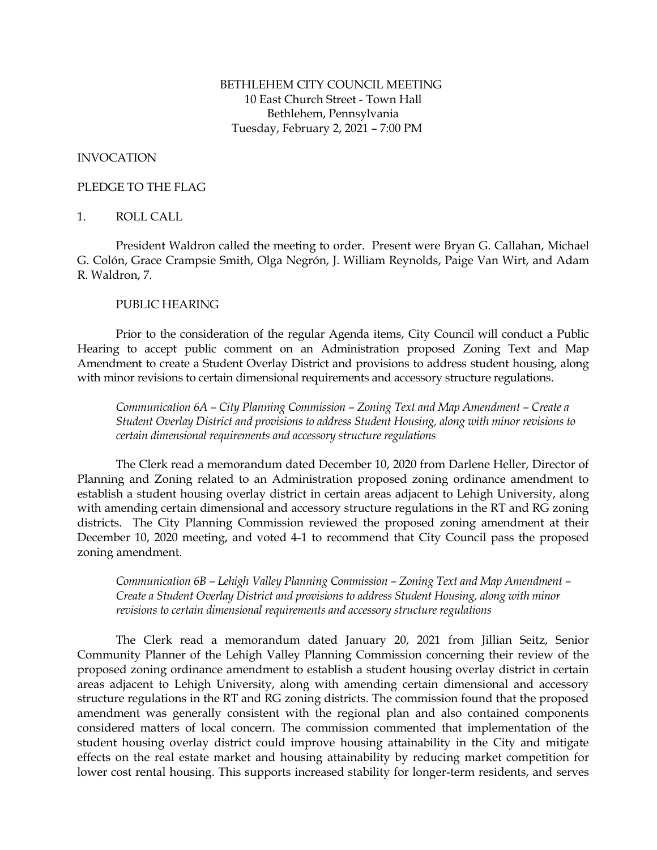# BETHLEHEM CITY COUNCIL MEETING 10 East Church Street - Town Hall Bethlehem, Pennsylvania Tuesday, February 2, 2021 – 7:00 PM

## INVOCATION

#### PLEDGE TO THE FLAG

## 1. ROLL CALL

President Waldron called the meeting to order. Present were Bryan G. Callahan, Michael G. Colón, Grace Crampsie Smith, Olga Negrón, J. William Reynolds, Paige Van Wirt, and Adam R. Waldron, 7.

## PUBLIC HEARING

Prior to the consideration of the regular Agenda items, City Council will conduct a Public Hearing to accept public comment on an Administration proposed Zoning Text and Map Amendment to create a Student Overlay District and provisions to address student housing, along with minor revisions to certain dimensional requirements and accessory structure regulations.

*Communication 6A – City Planning Commission – Zoning Text and Map Amendment – Create a Student Overlay District and provisions to address Student Housing, along with minor revisions to certain dimensional requirements and accessory structure regulations*

The Clerk read a memorandum dated December 10, 2020 from Darlene Heller, Director of Planning and Zoning related to an Administration proposed zoning ordinance amendment to establish a student housing overlay district in certain areas adjacent to Lehigh University, along with amending certain dimensional and accessory structure regulations in the RT and RG zoning districts. The City Planning Commission reviewed the proposed zoning amendment at their December 10, 2020 meeting, and voted 4-1 to recommend that City Council pass the proposed zoning amendment.

*Communication 6B – Lehigh Valley Planning Commission – Zoning Text and Map Amendment – Create a Student Overlay District and provisions to address Student Housing, along with minor revisions to certain dimensional requirements and accessory structure regulations*

The Clerk read a memorandum dated January 20, 2021 from Jillian Seitz, Senior Community Planner of the Lehigh Valley Planning Commission concerning their review of the proposed zoning ordinance amendment to establish a student housing overlay district in certain areas adjacent to Lehigh University, along with amending certain dimensional and accessory structure regulations in the RT and RG zoning districts. The commission found that the proposed amendment was generally consistent with the regional plan and also contained components considered matters of local concern. The commission commented that implementation of the student housing overlay district could improve housing attainability in the City and mitigate effects on the real estate market and housing attainability by reducing market competition for lower cost rental housing. This supports increased stability for longer-term residents, and serves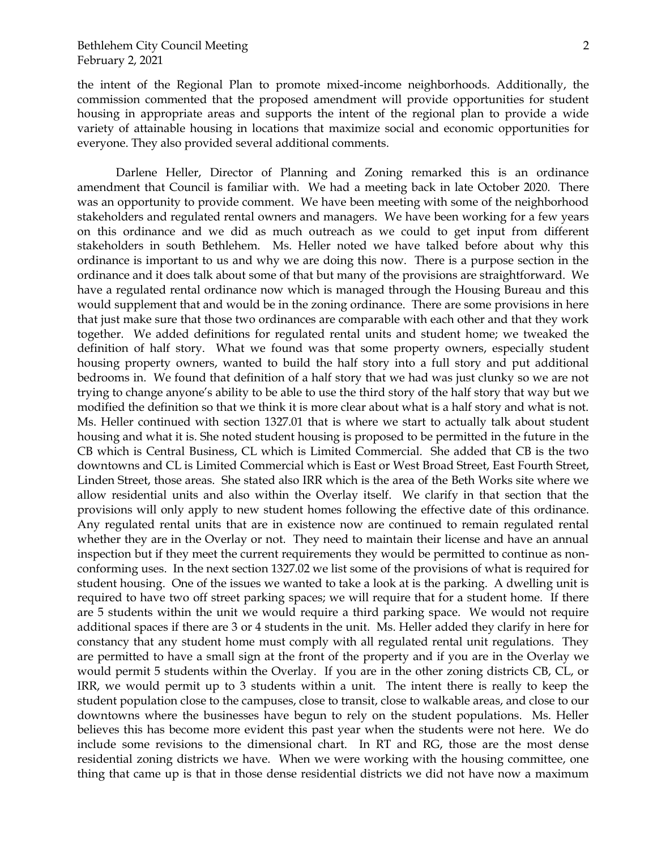the intent of the Regional Plan to promote mixed-income neighborhoods. Additionally, the commission commented that the proposed amendment will provide opportunities for student housing in appropriate areas and supports the intent of the regional plan to provide a wide variety of attainable housing in locations that maximize social and economic opportunities for everyone. They also provided several additional comments.

Darlene Heller, Director of Planning and Zoning remarked this is an ordinance amendment that Council is familiar with. We had a meeting back in late October 2020. There was an opportunity to provide comment. We have been meeting with some of the neighborhood stakeholders and regulated rental owners and managers. We have been working for a few years on this ordinance and we did as much outreach as we could to get input from different stakeholders in south Bethlehem. Ms. Heller noted we have talked before about why this ordinance is important to us and why we are doing this now. There is a purpose section in the ordinance and it does talk about some of that but many of the provisions are straightforward. We have a regulated rental ordinance now which is managed through the Housing Bureau and this would supplement that and would be in the zoning ordinance. There are some provisions in here that just make sure that those two ordinances are comparable with each other and that they work together. We added definitions for regulated rental units and student home; we tweaked the definition of half story. What we found was that some property owners, especially student housing property owners, wanted to build the half story into a full story and put additional bedrooms in. We found that definition of a half story that we had was just clunky so we are not trying to change anyone's ability to be able to use the third story of the half story that way but we modified the definition so that we think it is more clear about what is a half story and what is not. Ms. Heller continued with section 1327.01 that is where we start to actually talk about student housing and what it is. She noted student housing is proposed to be permitted in the future in the CB which is Central Business, CL which is Limited Commercial. She added that CB is the two downtowns and CL is Limited Commercial which is East or West Broad Street, East Fourth Street, Linden Street, those areas. She stated also IRR which is the area of the Beth Works site where we allow residential units and also within the Overlay itself. We clarify in that section that the provisions will only apply to new student homes following the effective date of this ordinance. Any regulated rental units that are in existence now are continued to remain regulated rental whether they are in the Overlay or not. They need to maintain their license and have an annual inspection but if they meet the current requirements they would be permitted to continue as nonconforming uses. In the next section 1327.02 we list some of the provisions of what is required for student housing. One of the issues we wanted to take a look at is the parking. A dwelling unit is required to have two off street parking spaces; we will require that for a student home. If there are 5 students within the unit we would require a third parking space. We would not require additional spaces if there are 3 or 4 students in the unit. Ms. Heller added they clarify in here for constancy that any student home must comply with all regulated rental unit regulations. They are permitted to have a small sign at the front of the property and if you are in the Overlay we would permit 5 students within the Overlay. If you are in the other zoning districts CB, CL, or IRR, we would permit up to 3 students within a unit. The intent there is really to keep the student population close to the campuses, close to transit, close to walkable areas, and close to our downtowns where the businesses have begun to rely on the student populations. Ms. Heller believes this has become more evident this past year when the students were not here. We do include some revisions to the dimensional chart. In RT and RG, those are the most dense residential zoning districts we have. When we were working with the housing committee, one thing that came up is that in those dense residential districts we did not have now a maximum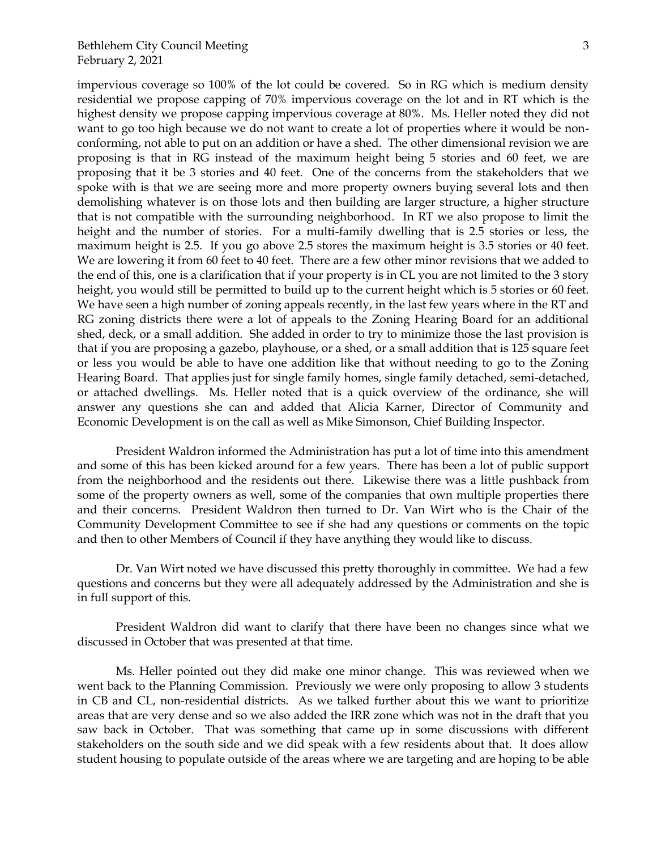impervious coverage so 100% of the lot could be covered. So in RG which is medium density residential we propose capping of 70% impervious coverage on the lot and in RT which is the highest density we propose capping impervious coverage at 80%. Ms. Heller noted they did not want to go too high because we do not want to create a lot of properties where it would be nonconforming, not able to put on an addition or have a shed. The other dimensional revision we are proposing is that in RG instead of the maximum height being 5 stories and 60 feet, we are proposing that it be 3 stories and 40 feet. One of the concerns from the stakeholders that we spoke with is that we are seeing more and more property owners buying several lots and then demolishing whatever is on those lots and then building are larger structure, a higher structure that is not compatible with the surrounding neighborhood. In RT we also propose to limit the height and the number of stories. For a multi-family dwelling that is 2.5 stories or less, the maximum height is 2.5. If you go above 2.5 stores the maximum height is 3.5 stories or 40 feet. We are lowering it from 60 feet to 40 feet. There are a few other minor revisions that we added to the end of this, one is a clarification that if your property is in CL you are not limited to the 3 story height, you would still be permitted to build up to the current height which is 5 stories or 60 feet. We have seen a high number of zoning appeals recently, in the last few years where in the RT and RG zoning districts there were a lot of appeals to the Zoning Hearing Board for an additional shed, deck, or a small addition. She added in order to try to minimize those the last provision is that if you are proposing a gazebo, playhouse, or a shed, or a small addition that is 125 square feet or less you would be able to have one addition like that without needing to go to the Zoning Hearing Board. That applies just for single family homes, single family detached, semi-detached, or attached dwellings. Ms. Heller noted that is a quick overview of the ordinance, she will answer any questions she can and added that Alicia Karner, Director of Community and Economic Development is on the call as well as Mike Simonson, Chief Building Inspector.

President Waldron informed the Administration has put a lot of time into this amendment and some of this has been kicked around for a few years. There has been a lot of public support from the neighborhood and the residents out there. Likewise there was a little pushback from some of the property owners as well, some of the companies that own multiple properties there and their concerns. President Waldron then turned to Dr. Van Wirt who is the Chair of the Community Development Committee to see if she had any questions or comments on the topic and then to other Members of Council if they have anything they would like to discuss.

Dr. Van Wirt noted we have discussed this pretty thoroughly in committee. We had a few questions and concerns but they were all adequately addressed by the Administration and she is in full support of this.

President Waldron did want to clarify that there have been no changes since what we discussed in October that was presented at that time.

Ms. Heller pointed out they did make one minor change. This was reviewed when we went back to the Planning Commission. Previously we were only proposing to allow 3 students in CB and CL, non-residential districts. As we talked further about this we want to prioritize areas that are very dense and so we also added the IRR zone which was not in the draft that you saw back in October. That was something that came up in some discussions with different stakeholders on the south side and we did speak with a few residents about that. It does allow student housing to populate outside of the areas where we are targeting and are hoping to be able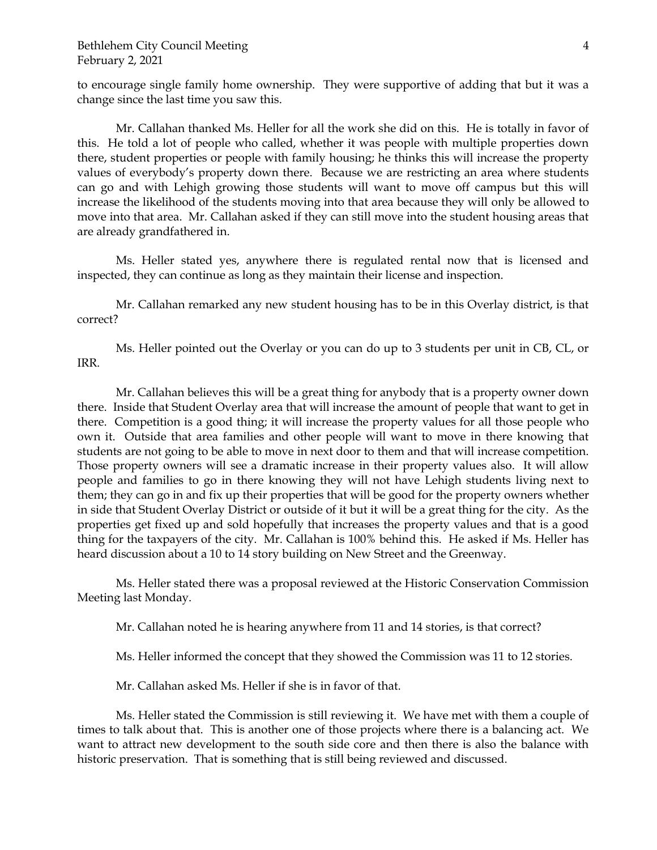to encourage single family home ownership. They were supportive of adding that but it was a change since the last time you saw this.

Mr. Callahan thanked Ms. Heller for all the work she did on this. He is totally in favor of this. He told a lot of people who called, whether it was people with multiple properties down there, student properties or people with family housing; he thinks this will increase the property values of everybody's property down there. Because we are restricting an area where students can go and with Lehigh growing those students will want to move off campus but this will increase the likelihood of the students moving into that area because they will only be allowed to move into that area. Mr. Callahan asked if they can still move into the student housing areas that are already grandfathered in.

Ms. Heller stated yes, anywhere there is regulated rental now that is licensed and inspected, they can continue as long as they maintain their license and inspection.

Mr. Callahan remarked any new student housing has to be in this Overlay district, is that correct?

Ms. Heller pointed out the Overlay or you can do up to 3 students per unit in CB, CL, or IRR.

Mr. Callahan believes this will be a great thing for anybody that is a property owner down there. Inside that Student Overlay area that will increase the amount of people that want to get in there. Competition is a good thing; it will increase the property values for all those people who own it. Outside that area families and other people will want to move in there knowing that students are not going to be able to move in next door to them and that will increase competition. Those property owners will see a dramatic increase in their property values also. It will allow people and families to go in there knowing they will not have Lehigh students living next to them; they can go in and fix up their properties that will be good for the property owners whether in side that Student Overlay District or outside of it but it will be a great thing for the city. As the properties get fixed up and sold hopefully that increases the property values and that is a good thing for the taxpayers of the city. Mr. Callahan is 100% behind this. He asked if Ms. Heller has heard discussion about a 10 to 14 story building on New Street and the Greenway.

Ms. Heller stated there was a proposal reviewed at the Historic Conservation Commission Meeting last Monday.

Mr. Callahan noted he is hearing anywhere from 11 and 14 stories, is that correct?

Ms. Heller informed the concept that they showed the Commission was 11 to 12 stories.

Mr. Callahan asked Ms. Heller if she is in favor of that.

Ms. Heller stated the Commission is still reviewing it. We have met with them a couple of times to talk about that. This is another one of those projects where there is a balancing act. We want to attract new development to the south side core and then there is also the balance with historic preservation. That is something that is still being reviewed and discussed.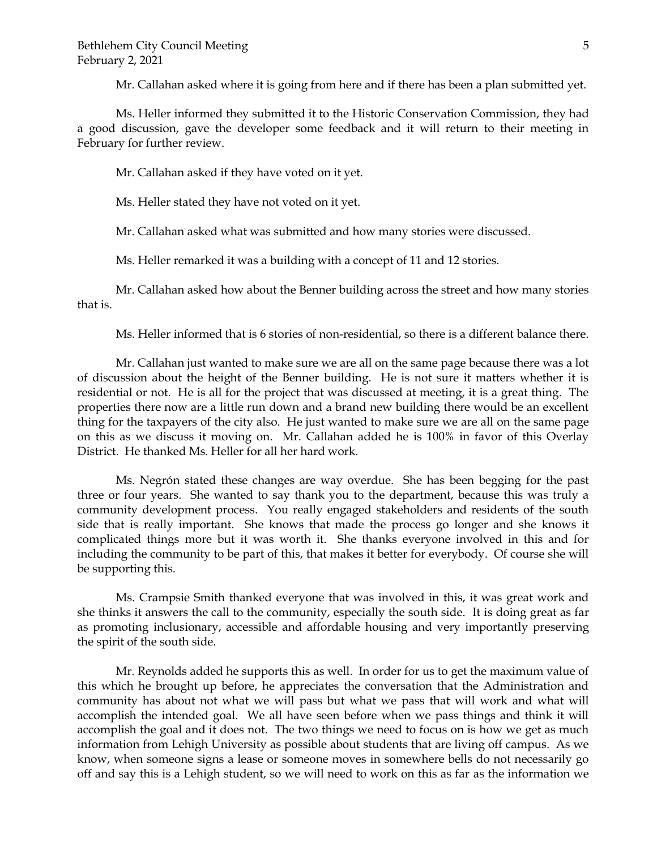Mr. Callahan asked where it is going from here and if there has been a plan submitted yet.

Ms. Heller informed they submitted it to the Historic Conservation Commission, they had a good discussion, gave the developer some feedback and it will return to their meeting in February for further review.

Mr. Callahan asked if they have voted on it yet.

Ms. Heller stated they have not voted on it yet.

Mr. Callahan asked what was submitted and how many stories were discussed.

Ms. Heller remarked it was a building with a concept of 11 and 12 stories.

Mr. Callahan asked how about the Benner building across the street and how many stories that is.

Ms. Heller informed that is 6 stories of non-residential, so there is a different balance there.

Mr. Callahan just wanted to make sure we are all on the same page because there was a lot of discussion about the height of the Benner building. He is not sure it matters whether it is residential or not. He is all for the project that was discussed at meeting, it is a great thing. The properties there now are a little run down and a brand new building there would be an excellent thing for the taxpayers of the city also. He just wanted to make sure we are all on the same page on this as we discuss it moving on. Mr. Callahan added he is 100% in favor of this Overlay District. He thanked Ms. Heller for all her hard work.

Ms. Negrón stated these changes are way overdue. She has been begging for the past three or four years. She wanted to say thank you to the department, because this was truly a community development process. You really engaged stakeholders and residents of the south side that is really important. She knows that made the process go longer and she knows it complicated things more but it was worth it. She thanks everyone involved in this and for including the community to be part of this, that makes it better for everybody. Of course she will be supporting this.

Ms. Crampsie Smith thanked everyone that was involved in this, it was great work and she thinks it answers the call to the community, especially the south side. It is doing great as far as promoting inclusionary, accessible and affordable housing and very importantly preserving the spirit of the south side.

Mr. Reynolds added he supports this as well. In order for us to get the maximum value of this which he brought up before, he appreciates the conversation that the Administration and community has about not what we will pass but what we pass that will work and what will accomplish the intended goal. We all have seen before when we pass things and think it will accomplish the goal and it does not. The two things we need to focus on is how we get as much information from Lehigh University as possible about students that are living off campus. As we know, when someone signs a lease or someone moves in somewhere bells do not necessarily go off and say this is a Lehigh student, so we will need to work on this as far as the information we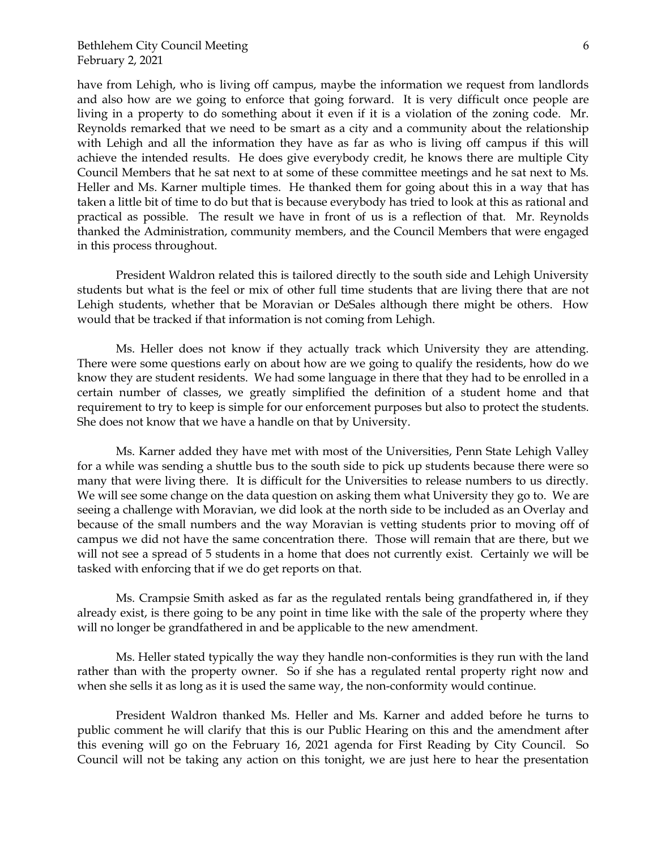have from Lehigh, who is living off campus, maybe the information we request from landlords and also how are we going to enforce that going forward. It is very difficult once people are living in a property to do something about it even if it is a violation of the zoning code. Mr. Reynolds remarked that we need to be smart as a city and a community about the relationship with Lehigh and all the information they have as far as who is living off campus if this will achieve the intended results. He does give everybody credit, he knows there are multiple City Council Members that he sat next to at some of these committee meetings and he sat next to Ms. Heller and Ms. Karner multiple times. He thanked them for going about this in a way that has taken a little bit of time to do but that is because everybody has tried to look at this as rational and practical as possible. The result we have in front of us is a reflection of that. Mr. Reynolds thanked the Administration, community members, and the Council Members that were engaged in this process throughout.

President Waldron related this is tailored directly to the south side and Lehigh University students but what is the feel or mix of other full time students that are living there that are not Lehigh students, whether that be Moravian or DeSales although there might be others. How would that be tracked if that information is not coming from Lehigh.

Ms. Heller does not know if they actually track which University they are attending. There were some questions early on about how are we going to qualify the residents, how do we know they are student residents. We had some language in there that they had to be enrolled in a certain number of classes, we greatly simplified the definition of a student home and that requirement to try to keep is simple for our enforcement purposes but also to protect the students. She does not know that we have a handle on that by University.

Ms. Karner added they have met with most of the Universities, Penn State Lehigh Valley for a while was sending a shuttle bus to the south side to pick up students because there were so many that were living there. It is difficult for the Universities to release numbers to us directly. We will see some change on the data question on asking them what University they go to. We are seeing a challenge with Moravian, we did look at the north side to be included as an Overlay and because of the small numbers and the way Moravian is vetting students prior to moving off of campus we did not have the same concentration there. Those will remain that are there, but we will not see a spread of 5 students in a home that does not currently exist. Certainly we will be tasked with enforcing that if we do get reports on that.

Ms. Crampsie Smith asked as far as the regulated rentals being grandfathered in, if they already exist, is there going to be any point in time like with the sale of the property where they will no longer be grandfathered in and be applicable to the new amendment.

Ms. Heller stated typically the way they handle non-conformities is they run with the land rather than with the property owner. So if she has a regulated rental property right now and when she sells it as long as it is used the same way, the non-conformity would continue.

President Waldron thanked Ms. Heller and Ms. Karner and added before he turns to public comment he will clarify that this is our Public Hearing on this and the amendment after this evening will go on the February 16, 2021 agenda for First Reading by City Council. So Council will not be taking any action on this tonight, we are just here to hear the presentation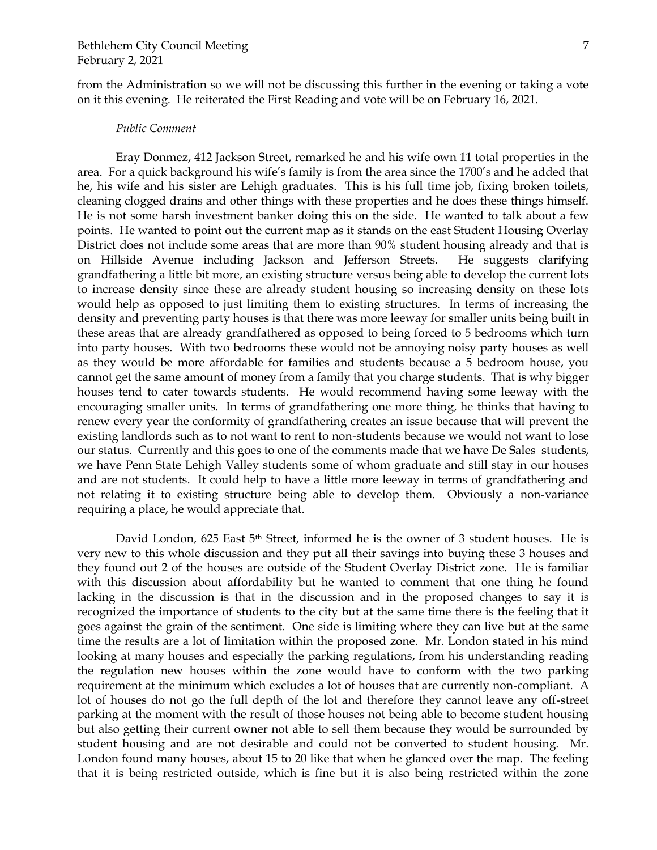from the Administration so we will not be discussing this further in the evening or taking a vote on it this evening. He reiterated the First Reading and vote will be on February 16, 2021.

#### *Public Comment*

Eray Donmez, 412 Jackson Street, remarked he and his wife own 11 total properties in the area. For a quick background his wife's family is from the area since the 1700's and he added that he, his wife and his sister are Lehigh graduates. This is his full time job, fixing broken toilets, cleaning clogged drains and other things with these properties and he does these things himself. He is not some harsh investment banker doing this on the side. He wanted to talk about a few points. He wanted to point out the current map as it stands on the east Student Housing Overlay District does not include some areas that are more than 90% student housing already and that is on Hillside Avenue including Jackson and Jefferson Streets. He suggests clarifying grandfathering a little bit more, an existing structure versus being able to develop the current lots to increase density since these are already student housing so increasing density on these lots would help as opposed to just limiting them to existing structures. In terms of increasing the density and preventing party houses is that there was more leeway for smaller units being built in these areas that are already grandfathered as opposed to being forced to 5 bedrooms which turn into party houses. With two bedrooms these would not be annoying noisy party houses as well as they would be more affordable for families and students because a 5 bedroom house, you cannot get the same amount of money from a family that you charge students. That is why bigger houses tend to cater towards students. He would recommend having some leeway with the encouraging smaller units. In terms of grandfathering one more thing, he thinks that having to renew every year the conformity of grandfathering creates an issue because that will prevent the existing landlords such as to not want to rent to non-students because we would not want to lose our status. Currently and this goes to one of the comments made that we have De Sales students, we have Penn State Lehigh Valley students some of whom graduate and still stay in our houses and are not students. It could help to have a little more leeway in terms of grandfathering and not relating it to existing structure being able to develop them. Obviously a non-variance requiring a place, he would appreciate that.

David London, 625 East 5<sup>th</sup> Street, informed he is the owner of 3 student houses. He is very new to this whole discussion and they put all their savings into buying these 3 houses and they found out 2 of the houses are outside of the Student Overlay District zone. He is familiar with this discussion about affordability but he wanted to comment that one thing he found lacking in the discussion is that in the discussion and in the proposed changes to say it is recognized the importance of students to the city but at the same time there is the feeling that it goes against the grain of the sentiment. One side is limiting where they can live but at the same time the results are a lot of limitation within the proposed zone. Mr. London stated in his mind looking at many houses and especially the parking regulations, from his understanding reading the regulation new houses within the zone would have to conform with the two parking requirement at the minimum which excludes a lot of houses that are currently non-compliant. A lot of houses do not go the full depth of the lot and therefore they cannot leave any off-street parking at the moment with the result of those houses not being able to become student housing but also getting their current owner not able to sell them because they would be surrounded by student housing and are not desirable and could not be converted to student housing. Mr. London found many houses, about 15 to 20 like that when he glanced over the map. The feeling that it is being restricted outside, which is fine but it is also being restricted within the zone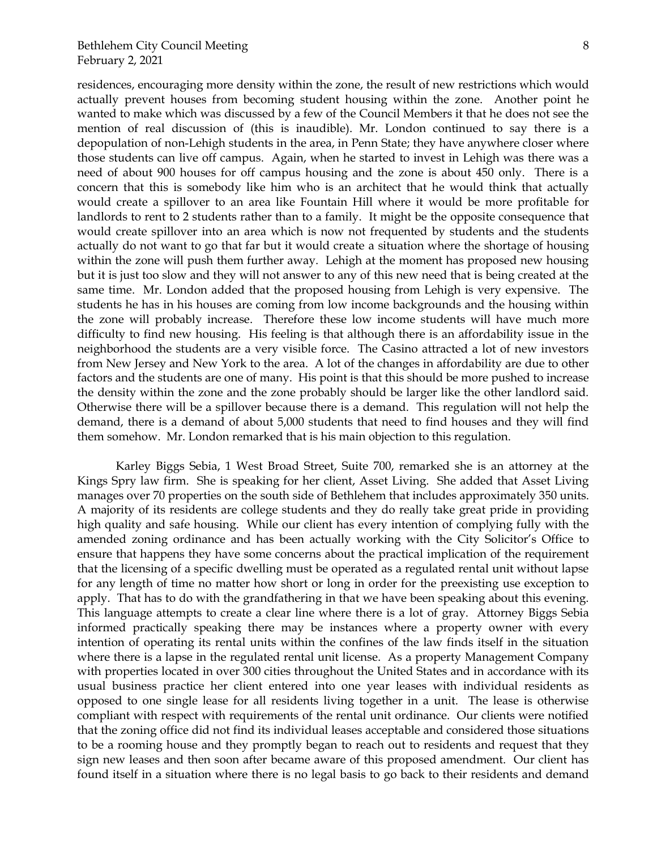residences, encouraging more density within the zone, the result of new restrictions which would actually prevent houses from becoming student housing within the zone. Another point he wanted to make which was discussed by a few of the Council Members it that he does not see the mention of real discussion of (this is inaudible). Mr. London continued to say there is a depopulation of non-Lehigh students in the area, in Penn State; they have anywhere closer where those students can live off campus. Again, when he started to invest in Lehigh was there was a need of about 900 houses for off campus housing and the zone is about 450 only. There is a concern that this is somebody like him who is an architect that he would think that actually would create a spillover to an area like Fountain Hill where it would be more profitable for landlords to rent to 2 students rather than to a family. It might be the opposite consequence that would create spillover into an area which is now not frequented by students and the students actually do not want to go that far but it would create a situation where the shortage of housing within the zone will push them further away. Lehigh at the moment has proposed new housing but it is just too slow and they will not answer to any of this new need that is being created at the same time. Mr. London added that the proposed housing from Lehigh is very expensive. The students he has in his houses are coming from low income backgrounds and the housing within the zone will probably increase. Therefore these low income students will have much more difficulty to find new housing. His feeling is that although there is an affordability issue in the neighborhood the students are a very visible force. The Casino attracted a lot of new investors from New Jersey and New York to the area. A lot of the changes in affordability are due to other factors and the students are one of many. His point is that this should be more pushed to increase the density within the zone and the zone probably should be larger like the other landlord said. Otherwise there will be a spillover because there is a demand. This regulation will not help the demand, there is a demand of about 5,000 students that need to find houses and they will find them somehow. Mr. London remarked that is his main objection to this regulation.

Karley Biggs Sebia, 1 West Broad Street, Suite 700, remarked she is an attorney at the Kings Spry law firm. She is speaking for her client, Asset Living. She added that Asset Living manages over 70 properties on the south side of Bethlehem that includes approximately 350 units. A majority of its residents are college students and they do really take great pride in providing high quality and safe housing. While our client has every intention of complying fully with the amended zoning ordinance and has been actually working with the City Solicitor's Office to ensure that happens they have some concerns about the practical implication of the requirement that the licensing of a specific dwelling must be operated as a regulated rental unit without lapse for any length of time no matter how short or long in order for the preexisting use exception to apply. That has to do with the grandfathering in that we have been speaking about this evening. This language attempts to create a clear line where there is a lot of gray. Attorney Biggs Sebia informed practically speaking there may be instances where a property owner with every intention of operating its rental units within the confines of the law finds itself in the situation where there is a lapse in the regulated rental unit license. As a property Management Company with properties located in over 300 cities throughout the United States and in accordance with its usual business practice her client entered into one year leases with individual residents as opposed to one single lease for all residents living together in a unit. The lease is otherwise compliant with respect with requirements of the rental unit ordinance. Our clients were notified that the zoning office did not find its individual leases acceptable and considered those situations to be a rooming house and they promptly began to reach out to residents and request that they sign new leases and then soon after became aware of this proposed amendment. Our client has found itself in a situation where there is no legal basis to go back to their residents and demand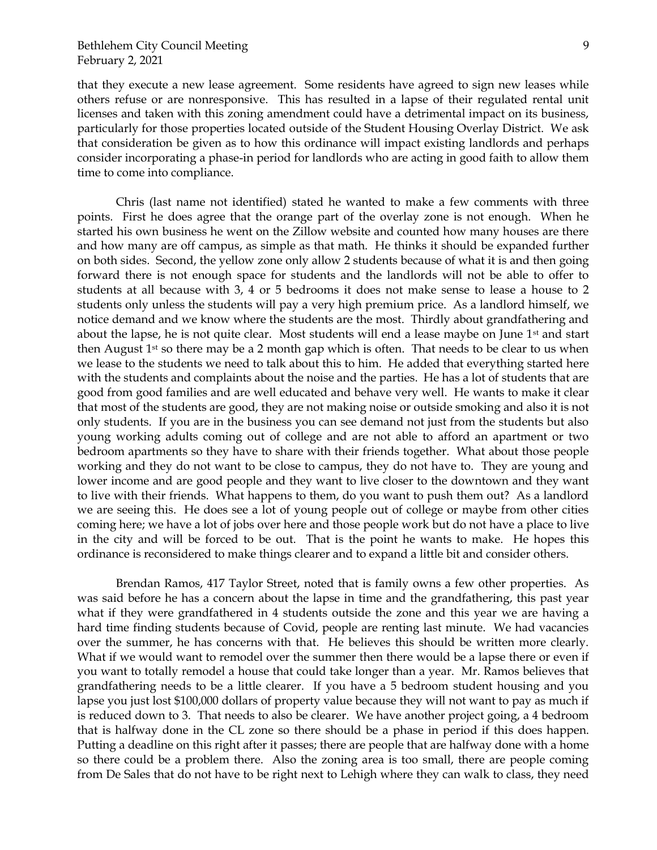that they execute a new lease agreement. Some residents have agreed to sign new leases while others refuse or are nonresponsive. This has resulted in a lapse of their regulated rental unit licenses and taken with this zoning amendment could have a detrimental impact on its business, particularly for those properties located outside of the Student Housing Overlay District. We ask that consideration be given as to how this ordinance will impact existing landlords and perhaps consider incorporating a phase-in period for landlords who are acting in good faith to allow them time to come into compliance.

Chris (last name not identified) stated he wanted to make a few comments with three points. First he does agree that the orange part of the overlay zone is not enough. When he started his own business he went on the Zillow website and counted how many houses are there and how many are off campus, as simple as that math. He thinks it should be expanded further on both sides. Second, the yellow zone only allow 2 students because of what it is and then going forward there is not enough space for students and the landlords will not be able to offer to students at all because with 3, 4 or 5 bedrooms it does not make sense to lease a house to 2 students only unless the students will pay a very high premium price. As a landlord himself, we notice demand and we know where the students are the most. Thirdly about grandfathering and about the lapse, he is not quite clear. Most students will end a lease maybe on June  $1<sup>st</sup>$  and start then August  $1<sup>st</sup>$  so there may be a 2 month gap which is often. That needs to be clear to us when we lease to the students we need to talk about this to him. He added that everything started here with the students and complaints about the noise and the parties. He has a lot of students that are good from good families and are well educated and behave very well. He wants to make it clear that most of the students are good, they are not making noise or outside smoking and also it is not only students. If you are in the business you can see demand not just from the students but also young working adults coming out of college and are not able to afford an apartment or two bedroom apartments so they have to share with their friends together. What about those people working and they do not want to be close to campus, they do not have to. They are young and lower income and are good people and they want to live closer to the downtown and they want to live with their friends. What happens to them, do you want to push them out? As a landlord we are seeing this. He does see a lot of young people out of college or maybe from other cities coming here; we have a lot of jobs over here and those people work but do not have a place to live in the city and will be forced to be out. That is the point he wants to make. He hopes this ordinance is reconsidered to make things clearer and to expand a little bit and consider others.

Brendan Ramos, 417 Taylor Street, noted that is family owns a few other properties. As was said before he has a concern about the lapse in time and the grandfathering, this past year what if they were grandfathered in 4 students outside the zone and this year we are having a hard time finding students because of Covid, people are renting last minute. We had vacancies over the summer, he has concerns with that. He believes this should be written more clearly. What if we would want to remodel over the summer then there would be a lapse there or even if you want to totally remodel a house that could take longer than a year. Mr. Ramos believes that grandfathering needs to be a little clearer. If you have a 5 bedroom student housing and you lapse you just lost \$100,000 dollars of property value because they will not want to pay as much if is reduced down to 3. That needs to also be clearer. We have another project going, a 4 bedroom that is halfway done in the CL zone so there should be a phase in period if this does happen. Putting a deadline on this right after it passes; there are people that are halfway done with a home so there could be a problem there. Also the zoning area is too small, there are people coming from De Sales that do not have to be right next to Lehigh where they can walk to class, they need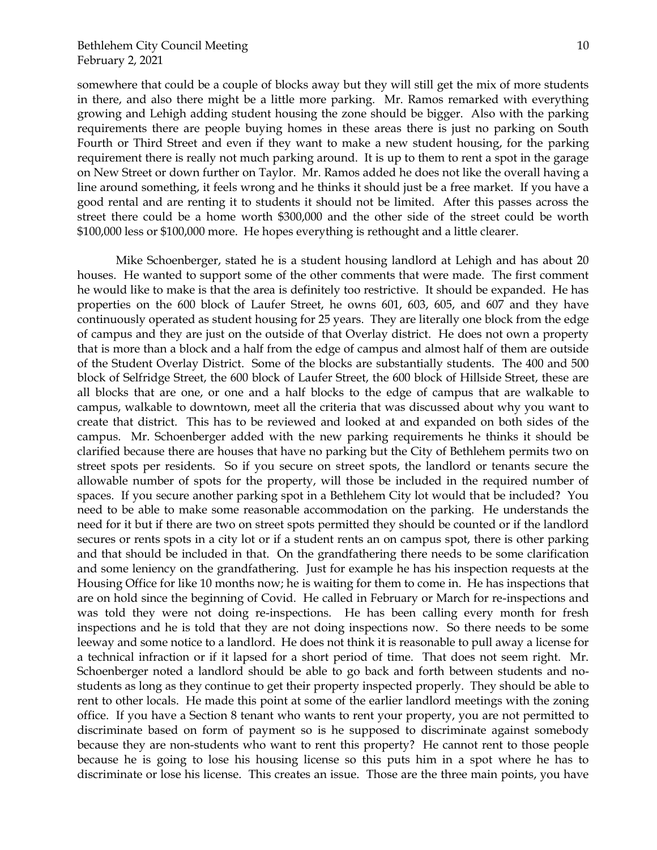somewhere that could be a couple of blocks away but they will still get the mix of more students in there, and also there might be a little more parking. Mr. Ramos remarked with everything growing and Lehigh adding student housing the zone should be bigger. Also with the parking requirements there are people buying homes in these areas there is just no parking on South Fourth or Third Street and even if they want to make a new student housing, for the parking requirement there is really not much parking around. It is up to them to rent a spot in the garage on New Street or down further on Taylor. Mr. Ramos added he does not like the overall having a line around something, it feels wrong and he thinks it should just be a free market. If you have a good rental and are renting it to students it should not be limited. After this passes across the street there could be a home worth \$300,000 and the other side of the street could be worth \$100,000 less or \$100,000 more. He hopes everything is rethought and a little clearer.

Mike Schoenberger, stated he is a student housing landlord at Lehigh and has about 20 houses. He wanted to support some of the other comments that were made. The first comment he would like to make is that the area is definitely too restrictive. It should be expanded. He has properties on the 600 block of Laufer Street, he owns 601, 603, 605, and 607 and they have continuously operated as student housing for 25 years. They are literally one block from the edge of campus and they are just on the outside of that Overlay district. He does not own a property that is more than a block and a half from the edge of campus and almost half of them are outside of the Student Overlay District. Some of the blocks are substantially students. The 400 and 500 block of Selfridge Street, the 600 block of Laufer Street, the 600 block of Hillside Street, these are all blocks that are one, or one and a half blocks to the edge of campus that are walkable to campus, walkable to downtown, meet all the criteria that was discussed about why you want to create that district. This has to be reviewed and looked at and expanded on both sides of the campus. Mr. Schoenberger added with the new parking requirements he thinks it should be clarified because there are houses that have no parking but the City of Bethlehem permits two on street spots per residents. So if you secure on street spots, the landlord or tenants secure the allowable number of spots for the property, will those be included in the required number of spaces. If you secure another parking spot in a Bethlehem City lot would that be included? You need to be able to make some reasonable accommodation on the parking. He understands the need for it but if there are two on street spots permitted they should be counted or if the landlord secures or rents spots in a city lot or if a student rents an on campus spot, there is other parking and that should be included in that. On the grandfathering there needs to be some clarification and some leniency on the grandfathering. Just for example he has his inspection requests at the Housing Office for like 10 months now; he is waiting for them to come in. He has inspections that are on hold since the beginning of Covid. He called in February or March for re-inspections and was told they were not doing re-inspections. He has been calling every month for fresh inspections and he is told that they are not doing inspections now. So there needs to be some leeway and some notice to a landlord. He does not think it is reasonable to pull away a license for a technical infraction or if it lapsed for a short period of time. That does not seem right. Mr. Schoenberger noted a landlord should be able to go back and forth between students and nostudents as long as they continue to get their property inspected properly. They should be able to rent to other locals. He made this point at some of the earlier landlord meetings with the zoning office. If you have a Section 8 tenant who wants to rent your property, you are not permitted to discriminate based on form of payment so is he supposed to discriminate against somebody because they are non-students who want to rent this property? He cannot rent to those people because he is going to lose his housing license so this puts him in a spot where he has to discriminate or lose his license. This creates an issue. Those are the three main points, you have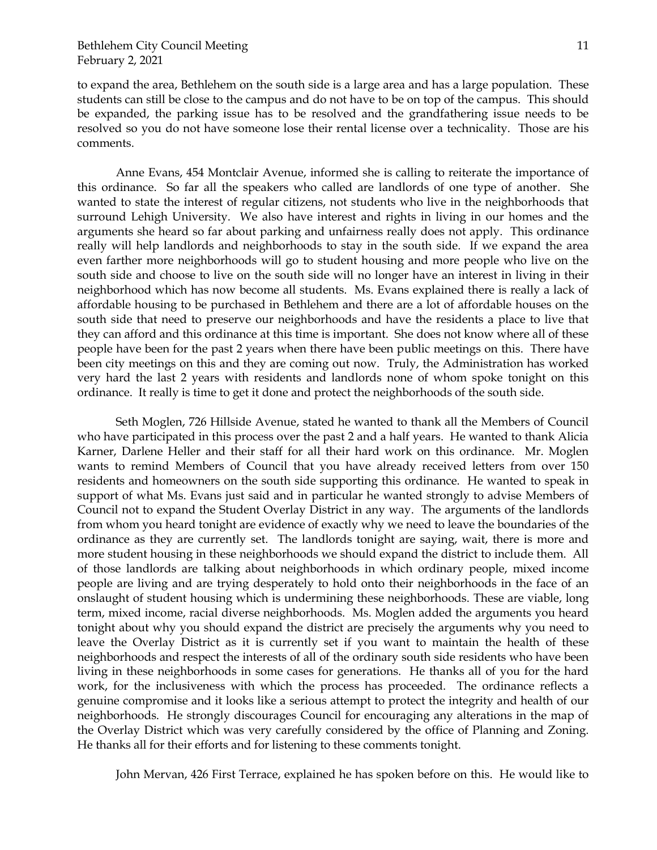to expand the area, Bethlehem on the south side is a large area and has a large population. These students can still be close to the campus and do not have to be on top of the campus. This should be expanded, the parking issue has to be resolved and the grandfathering issue needs to be resolved so you do not have someone lose their rental license over a technicality. Those are his comments.

Anne Evans, 454 Montclair Avenue, informed she is calling to reiterate the importance of this ordinance. So far all the speakers who called are landlords of one type of another. She wanted to state the interest of regular citizens, not students who live in the neighborhoods that surround Lehigh University. We also have interest and rights in living in our homes and the arguments she heard so far about parking and unfairness really does not apply. This ordinance really will help landlords and neighborhoods to stay in the south side. If we expand the area even farther more neighborhoods will go to student housing and more people who live on the south side and choose to live on the south side will no longer have an interest in living in their neighborhood which has now become all students. Ms. Evans explained there is really a lack of affordable housing to be purchased in Bethlehem and there are a lot of affordable houses on the south side that need to preserve our neighborhoods and have the residents a place to live that they can afford and this ordinance at this time is important. She does not know where all of these people have been for the past 2 years when there have been public meetings on this. There have been city meetings on this and they are coming out now. Truly, the Administration has worked very hard the last 2 years with residents and landlords none of whom spoke tonight on this ordinance. It really is time to get it done and protect the neighborhoods of the south side.

Seth Moglen, 726 Hillside Avenue, stated he wanted to thank all the Members of Council who have participated in this process over the past 2 and a half years. He wanted to thank Alicia Karner, Darlene Heller and their staff for all their hard work on this ordinance. Mr. Moglen wants to remind Members of Council that you have already received letters from over 150 residents and homeowners on the south side supporting this ordinance. He wanted to speak in support of what Ms. Evans just said and in particular he wanted strongly to advise Members of Council not to expand the Student Overlay District in any way. The arguments of the landlords from whom you heard tonight are evidence of exactly why we need to leave the boundaries of the ordinance as they are currently set. The landlords tonight are saying, wait, there is more and more student housing in these neighborhoods we should expand the district to include them. All of those landlords are talking about neighborhoods in which ordinary people, mixed income people are living and are trying desperately to hold onto their neighborhoods in the face of an onslaught of student housing which is undermining these neighborhoods. These are viable, long term, mixed income, racial diverse neighborhoods. Ms. Moglen added the arguments you heard tonight about why you should expand the district are precisely the arguments why you need to leave the Overlay District as it is currently set if you want to maintain the health of these neighborhoods and respect the interests of all of the ordinary south side residents who have been living in these neighborhoods in some cases for generations. He thanks all of you for the hard work, for the inclusiveness with which the process has proceeded. The ordinance reflects a genuine compromise and it looks like a serious attempt to protect the integrity and health of our neighborhoods. He strongly discourages Council for encouraging any alterations in the map of the Overlay District which was very carefully considered by the office of Planning and Zoning. He thanks all for their efforts and for listening to these comments tonight.

John Mervan, 426 First Terrace, explained he has spoken before on this. He would like to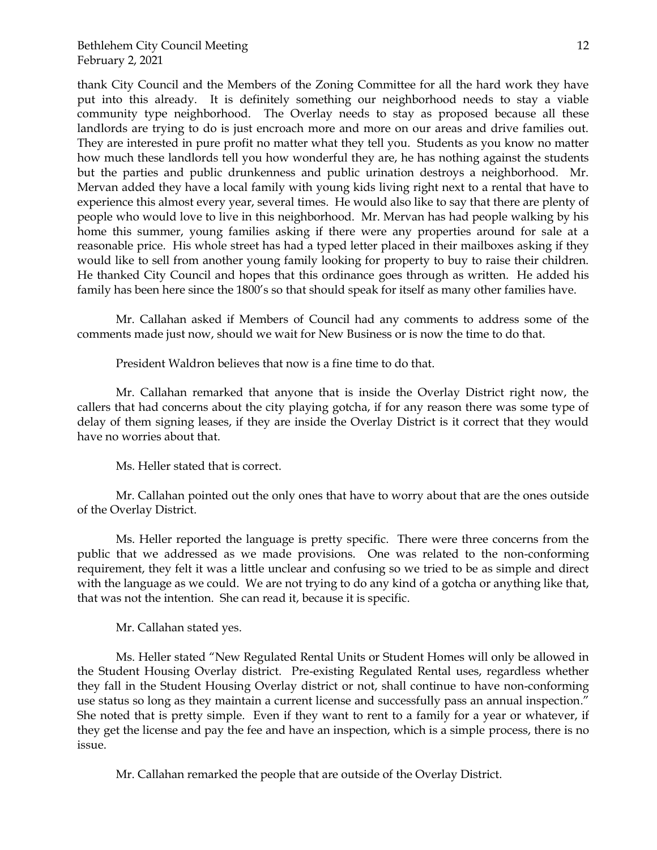thank City Council and the Members of the Zoning Committee for all the hard work they have put into this already. It is definitely something our neighborhood needs to stay a viable community type neighborhood. The Overlay needs to stay as proposed because all these landlords are trying to do is just encroach more and more on our areas and drive families out. They are interested in pure profit no matter what they tell you. Students as you know no matter how much these landlords tell you how wonderful they are, he has nothing against the students but the parties and public drunkenness and public urination destroys a neighborhood. Mr. Mervan added they have a local family with young kids living right next to a rental that have to experience this almost every year, several times. He would also like to say that there are plenty of people who would love to live in this neighborhood. Mr. Mervan has had people walking by his home this summer, young families asking if there were any properties around for sale at a reasonable price. His whole street has had a typed letter placed in their mailboxes asking if they would like to sell from another young family looking for property to buy to raise their children. He thanked City Council and hopes that this ordinance goes through as written. He added his family has been here since the 1800's so that should speak for itself as many other families have.

Mr. Callahan asked if Members of Council had any comments to address some of the comments made just now, should we wait for New Business or is now the time to do that.

President Waldron believes that now is a fine time to do that.

Mr. Callahan remarked that anyone that is inside the Overlay District right now, the callers that had concerns about the city playing gotcha, if for any reason there was some type of delay of them signing leases, if they are inside the Overlay District is it correct that they would have no worries about that.

Ms. Heller stated that is correct.

Mr. Callahan pointed out the only ones that have to worry about that are the ones outside of the Overlay District.

Ms. Heller reported the language is pretty specific. There were three concerns from the public that we addressed as we made provisions. One was related to the non-conforming requirement, they felt it was a little unclear and confusing so we tried to be as simple and direct with the language as we could. We are not trying to do any kind of a gotcha or anything like that, that was not the intention. She can read it, because it is specific.

Mr. Callahan stated yes.

Ms. Heller stated "New Regulated Rental Units or Student Homes will only be allowed in the Student Housing Overlay district. Pre-existing Regulated Rental uses, regardless whether they fall in the Student Housing Overlay district or not, shall continue to have non-conforming use status so long as they maintain a current license and successfully pass an annual inspection." She noted that is pretty simple. Even if they want to rent to a family for a year or whatever, if they get the license and pay the fee and have an inspection, which is a simple process, there is no issue.

Mr. Callahan remarked the people that are outside of the Overlay District.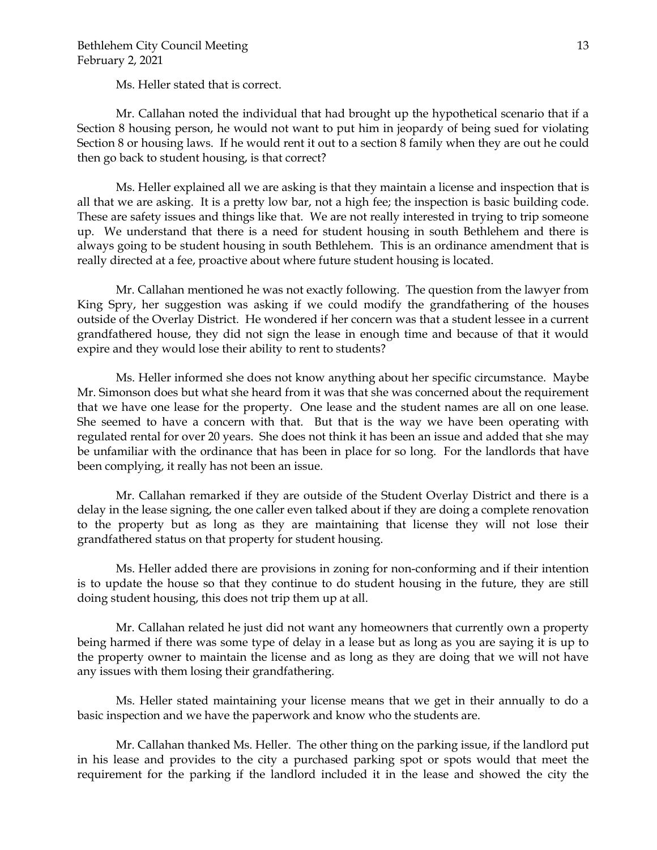Ms. Heller stated that is correct.

Mr. Callahan noted the individual that had brought up the hypothetical scenario that if a Section 8 housing person, he would not want to put him in jeopardy of being sued for violating Section 8 or housing laws. If he would rent it out to a section 8 family when they are out he could then go back to student housing, is that correct?

Ms. Heller explained all we are asking is that they maintain a license and inspection that is all that we are asking. It is a pretty low bar, not a high fee; the inspection is basic building code. These are safety issues and things like that. We are not really interested in trying to trip someone up. We understand that there is a need for student housing in south Bethlehem and there is always going to be student housing in south Bethlehem. This is an ordinance amendment that is really directed at a fee, proactive about where future student housing is located.

Mr. Callahan mentioned he was not exactly following. The question from the lawyer from King Spry, her suggestion was asking if we could modify the grandfathering of the houses outside of the Overlay District. He wondered if her concern was that a student lessee in a current grandfathered house, they did not sign the lease in enough time and because of that it would expire and they would lose their ability to rent to students?

Ms. Heller informed she does not know anything about her specific circumstance. Maybe Mr. Simonson does but what she heard from it was that she was concerned about the requirement that we have one lease for the property. One lease and the student names are all on one lease. She seemed to have a concern with that. But that is the way we have been operating with regulated rental for over 20 years. She does not think it has been an issue and added that she may be unfamiliar with the ordinance that has been in place for so long. For the landlords that have been complying, it really has not been an issue.

Mr. Callahan remarked if they are outside of the Student Overlay District and there is a delay in the lease signing, the one caller even talked about if they are doing a complete renovation to the property but as long as they are maintaining that license they will not lose their grandfathered status on that property for student housing.

Ms. Heller added there are provisions in zoning for non-conforming and if their intention is to update the house so that they continue to do student housing in the future, they are still doing student housing, this does not trip them up at all.

Mr. Callahan related he just did not want any homeowners that currently own a property being harmed if there was some type of delay in a lease but as long as you are saying it is up to the property owner to maintain the license and as long as they are doing that we will not have any issues with them losing their grandfathering.

Ms. Heller stated maintaining your license means that we get in their annually to do a basic inspection and we have the paperwork and know who the students are.

Mr. Callahan thanked Ms. Heller. The other thing on the parking issue, if the landlord put in his lease and provides to the city a purchased parking spot or spots would that meet the requirement for the parking if the landlord included it in the lease and showed the city the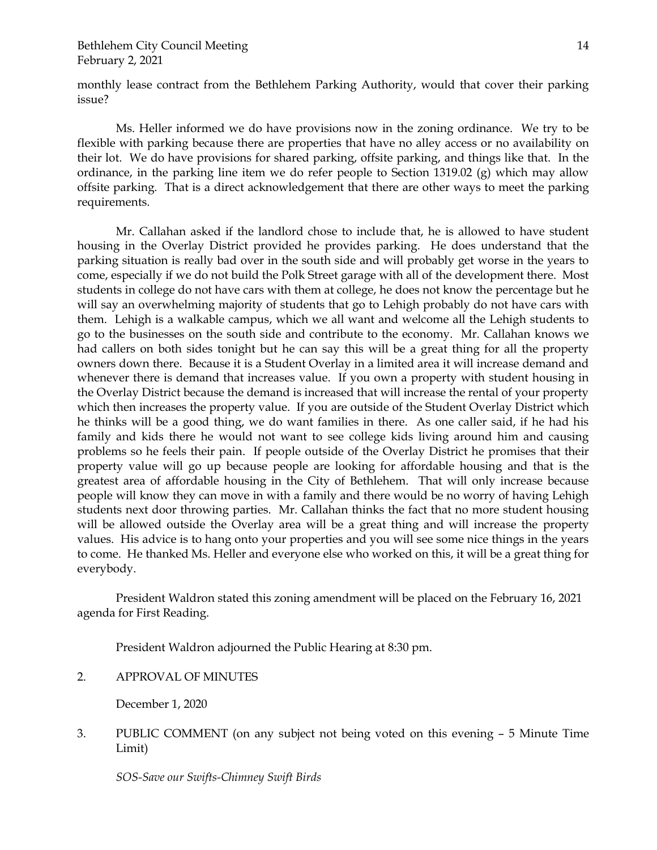monthly lease contract from the Bethlehem Parking Authority, would that cover their parking issue?

Ms. Heller informed we do have provisions now in the zoning ordinance. We try to be flexible with parking because there are properties that have no alley access or no availability on their lot. We do have provisions for shared parking, offsite parking, and things like that. In the ordinance, in the parking line item we do refer people to Section 1319.02 (g) which may allow offsite parking. That is a direct acknowledgement that there are other ways to meet the parking requirements.

Mr. Callahan asked if the landlord chose to include that, he is allowed to have student housing in the Overlay District provided he provides parking. He does understand that the parking situation is really bad over in the south side and will probably get worse in the years to come, especially if we do not build the Polk Street garage with all of the development there. Most students in college do not have cars with them at college, he does not know the percentage but he will say an overwhelming majority of students that go to Lehigh probably do not have cars with them. Lehigh is a walkable campus, which we all want and welcome all the Lehigh students to go to the businesses on the south side and contribute to the economy. Mr. Callahan knows we had callers on both sides tonight but he can say this will be a great thing for all the property owners down there. Because it is a Student Overlay in a limited area it will increase demand and whenever there is demand that increases value. If you own a property with student housing in the Overlay District because the demand is increased that will increase the rental of your property which then increases the property value. If you are outside of the Student Overlay District which he thinks will be a good thing, we do want families in there. As one caller said, if he had his family and kids there he would not want to see college kids living around him and causing problems so he feels their pain. If people outside of the Overlay District he promises that their property value will go up because people are looking for affordable housing and that is the greatest area of affordable housing in the City of Bethlehem. That will only increase because people will know they can move in with a family and there would be no worry of having Lehigh students next door throwing parties. Mr. Callahan thinks the fact that no more student housing will be allowed outside the Overlay area will be a great thing and will increase the property values. His advice is to hang onto your properties and you will see some nice things in the years to come. He thanked Ms. Heller and everyone else who worked on this, it will be a great thing for everybody.

President Waldron stated this zoning amendment will be placed on the February 16, 2021 agenda for First Reading.

President Waldron adjourned the Public Hearing at 8:30 pm.

2. APPROVAL OF MINUTES

December 1, 2020

3. PUBLIC COMMENT (on any subject not being voted on this evening – 5 Minute Time Limit)

*SOS-Save our Swifts-Chimney Swift Birds*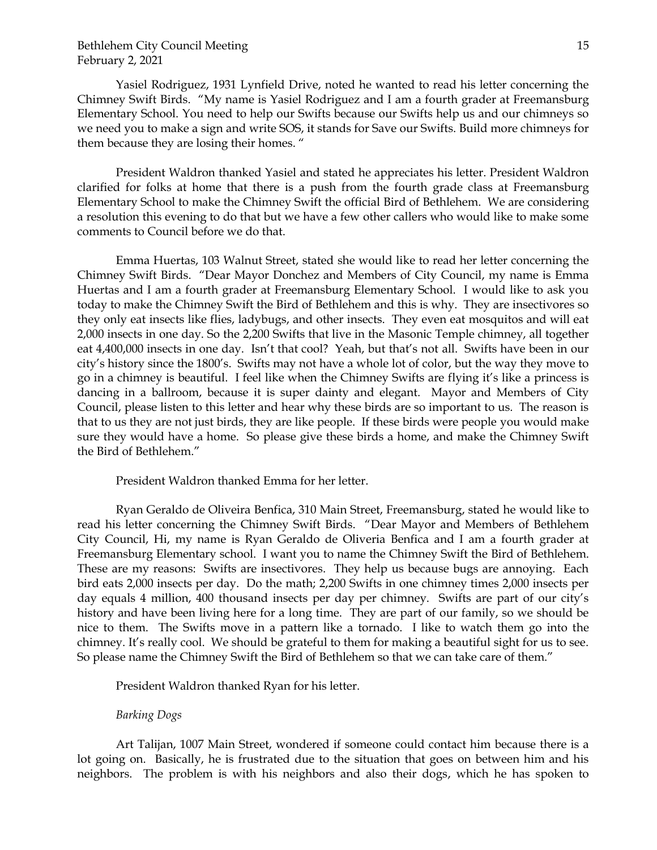Yasiel Rodriguez, 1931 Lynfield Drive, noted he wanted to read his letter concerning the Chimney Swift Birds. "My name is Yasiel Rodriguez and I am a fourth grader at Freemansburg Elementary School. You need to help our Swifts because our Swifts help us and our chimneys so we need you to make a sign and write SOS, it stands for Save our Swifts. Build more chimneys for them because they are losing their homes. "

President Waldron thanked Yasiel and stated he appreciates his letter. President Waldron clarified for folks at home that there is a push from the fourth grade class at Freemansburg Elementary School to make the Chimney Swift the official Bird of Bethlehem. We are considering a resolution this evening to do that but we have a few other callers who would like to make some comments to Council before we do that.

Emma Huertas, 103 Walnut Street, stated she would like to read her letter concerning the Chimney Swift Birds. "Dear Mayor Donchez and Members of City Council, my name is Emma Huertas and I am a fourth grader at Freemansburg Elementary School. I would like to ask you today to make the Chimney Swift the Bird of Bethlehem and this is why. They are insectivores so they only eat insects like flies, ladybugs, and other insects. They even eat mosquitos and will eat 2,000 insects in one day. So the 2,200 Swifts that live in the Masonic Temple chimney, all together eat 4,400,000 insects in one day. Isn't that cool? Yeah, but that's not all. Swifts have been in our city's history since the 1800's. Swifts may not have a whole lot of color, but the way they move to go in a chimney is beautiful. I feel like when the Chimney Swifts are flying it's like a princess is dancing in a ballroom, because it is super dainty and elegant. Mayor and Members of City Council, please listen to this letter and hear why these birds are so important to us. The reason is that to us they are not just birds, they are like people. If these birds were people you would make sure they would have a home. So please give these birds a home, and make the Chimney Swift the Bird of Bethlehem."

President Waldron thanked Emma for her letter.

Ryan Geraldo de Oliveira Benfica, 310 Main Street, Freemansburg, stated he would like to read his letter concerning the Chimney Swift Birds. "Dear Mayor and Members of Bethlehem City Council, Hi, my name is Ryan Geraldo de Oliveria Benfica and I am a fourth grader at Freemansburg Elementary school. I want you to name the Chimney Swift the Bird of Bethlehem. These are my reasons: Swifts are insectivores. They help us because bugs are annoying. Each bird eats 2,000 insects per day. Do the math; 2,200 Swifts in one chimney times 2,000 insects per day equals 4 million, 400 thousand insects per day per chimney. Swifts are part of our city's history and have been living here for a long time. They are part of our family, so we should be nice to them. The Swifts move in a pattern like a tornado. I like to watch them go into the chimney. It's really cool. We should be grateful to them for making a beautiful sight for us to see. So please name the Chimney Swift the Bird of Bethlehem so that we can take care of them."

President Waldron thanked Ryan for his letter.

*Barking Dogs*

Art Talijan, 1007 Main Street, wondered if someone could contact him because there is a lot going on. Basically, he is frustrated due to the situation that goes on between him and his neighbors. The problem is with his neighbors and also their dogs, which he has spoken to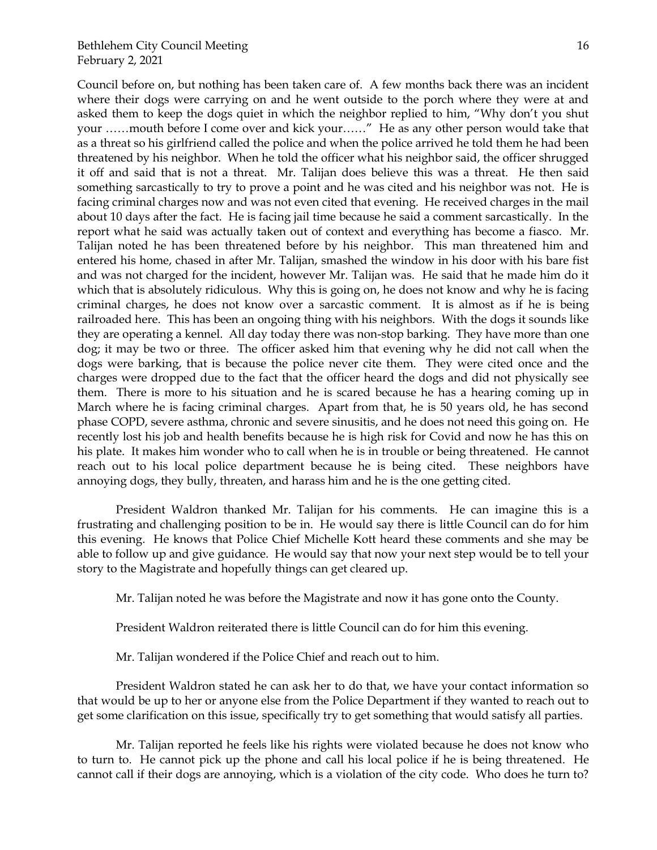Council before on, but nothing has been taken care of. A few months back there was an incident where their dogs were carrying on and he went outside to the porch where they were at and asked them to keep the dogs quiet in which the neighbor replied to him, "Why don't you shut your ……mouth before I come over and kick your……" He as any other person would take that as a threat so his girlfriend called the police and when the police arrived he told them he had been threatened by his neighbor. When he told the officer what his neighbor said, the officer shrugged it off and said that is not a threat. Mr. Talijan does believe this was a threat. He then said something sarcastically to try to prove a point and he was cited and his neighbor was not. He is facing criminal charges now and was not even cited that evening. He received charges in the mail about 10 days after the fact. He is facing jail time because he said a comment sarcastically. In the report what he said was actually taken out of context and everything has become a fiasco. Mr. Talijan noted he has been threatened before by his neighbor. This man threatened him and entered his home, chased in after Mr. Talijan, smashed the window in his door with his bare fist and was not charged for the incident, however Mr. Talijan was. He said that he made him do it which that is absolutely ridiculous. Why this is going on, he does not know and why he is facing criminal charges, he does not know over a sarcastic comment. It is almost as if he is being railroaded here. This has been an ongoing thing with his neighbors. With the dogs it sounds like they are operating a kennel. All day today there was non-stop barking. They have more than one dog; it may be two or three. The officer asked him that evening why he did not call when the dogs were barking, that is because the police never cite them. They were cited once and the charges were dropped due to the fact that the officer heard the dogs and did not physically see them. There is more to his situation and he is scared because he has a hearing coming up in March where he is facing criminal charges. Apart from that, he is 50 years old, he has second phase COPD, severe asthma, chronic and severe sinusitis, and he does not need this going on. He recently lost his job and health benefits because he is high risk for Covid and now he has this on his plate. It makes him wonder who to call when he is in trouble or being threatened. He cannot reach out to his local police department because he is being cited. These neighbors have

President Waldron thanked Mr. Talijan for his comments. He can imagine this is a frustrating and challenging position to be in. He would say there is little Council can do for him this evening. He knows that Police Chief Michelle Kott heard these comments and she may be able to follow up and give guidance. He would say that now your next step would be to tell your story to the Magistrate and hopefully things can get cleared up.

annoying dogs, they bully, threaten, and harass him and he is the one getting cited.

Mr. Talijan noted he was before the Magistrate and now it has gone onto the County.

President Waldron reiterated there is little Council can do for him this evening.

Mr. Talijan wondered if the Police Chief and reach out to him.

President Waldron stated he can ask her to do that, we have your contact information so that would be up to her or anyone else from the Police Department if they wanted to reach out to get some clarification on this issue, specifically try to get something that would satisfy all parties.

Mr. Talijan reported he feels like his rights were violated because he does not know who to turn to. He cannot pick up the phone and call his local police if he is being threatened. He cannot call if their dogs are annoying, which is a violation of the city code. Who does he turn to?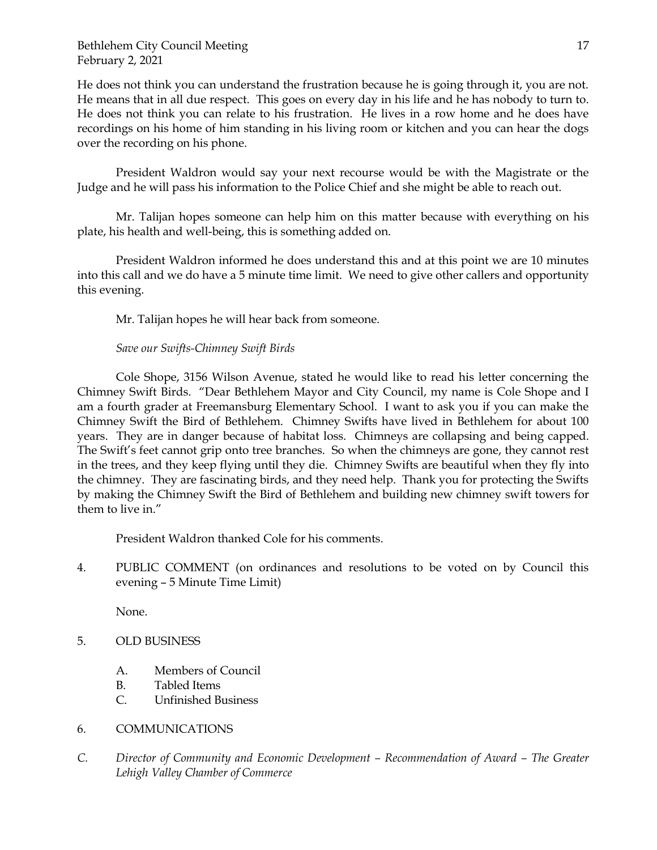He does not think you can understand the frustration because he is going through it, you are not. He means that in all due respect. This goes on every day in his life and he has nobody to turn to. He does not think you can relate to his frustration. He lives in a row home and he does have recordings on his home of him standing in his living room or kitchen and you can hear the dogs over the recording on his phone.

President Waldron would say your next recourse would be with the Magistrate or the Judge and he will pass his information to the Police Chief and she might be able to reach out.

Mr. Talijan hopes someone can help him on this matter because with everything on his plate, his health and well-being, this is something added on.

President Waldron informed he does understand this and at this point we are 10 minutes into this call and we do have a 5 minute time limit. We need to give other callers and opportunity this evening.

Mr. Talijan hopes he will hear back from someone.

# *Save our Swifts-Chimney Swift Birds*

Cole Shope, 3156 Wilson Avenue, stated he would like to read his letter concerning the Chimney Swift Birds. "Dear Bethlehem Mayor and City Council, my name is Cole Shope and I am a fourth grader at Freemansburg Elementary School. I want to ask you if you can make the Chimney Swift the Bird of Bethlehem. Chimney Swifts have lived in Bethlehem for about 100 years. They are in danger because of habitat loss. Chimneys are collapsing and being capped. The Swift's feet cannot grip onto tree branches. So when the chimneys are gone, they cannot rest in the trees, and they keep flying until they die. Chimney Swifts are beautiful when they fly into the chimney. They are fascinating birds, and they need help. Thank you for protecting the Swifts by making the Chimney Swift the Bird of Bethlehem and building new chimney swift towers for them to live in."

President Waldron thanked Cole for his comments.

4. PUBLIC COMMENT (on ordinances and resolutions to be voted on by Council this evening – 5 Minute Time Limit)

None.

- 5. OLD BUSINESS
	- A. Members of Council
	- B. Tabled Items
	- C. Unfinished Business
- 6. COMMUNICATIONS
- *C. Director of Community and Economic Development – Recommendation of Award – The Greater Lehigh Valley Chamber of Commerce*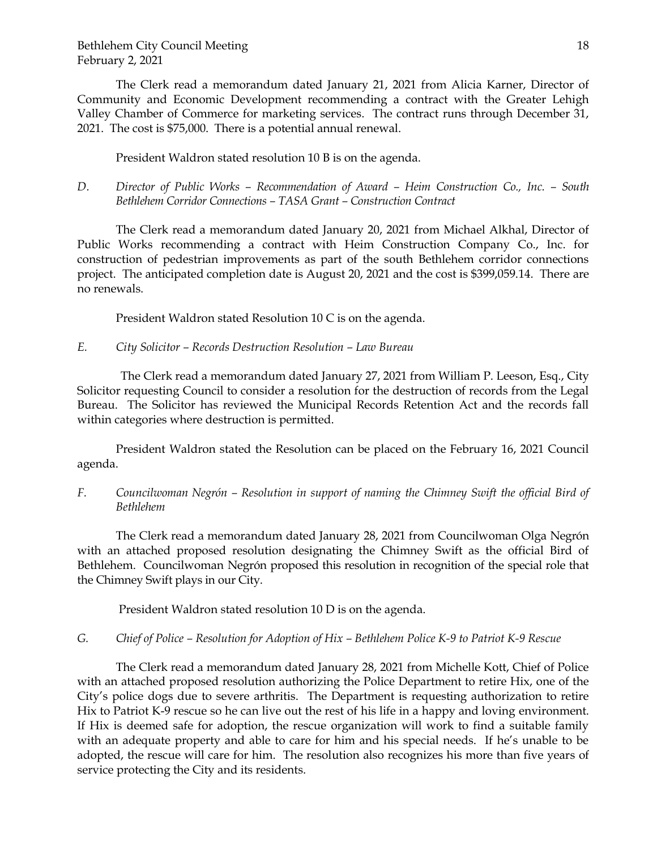The Clerk read a memorandum dated January 21, 2021 from Alicia Karner, Director of Community and Economic Development recommending a contract with the Greater Lehigh Valley Chamber of Commerce for marketing services. The contract runs through December 31, 2021. The cost is \$75,000. There is a potential annual renewal.

President Waldron stated resolution 10 B is on the agenda.

*D. Director of Public Works – Recommendation of Award – Heim Construction Co., Inc. – South Bethlehem Corridor Connections – TASA Grant – Construction Contract*

The Clerk read a memorandum dated January 20, 2021 from Michael Alkhal, Director of Public Works recommending a contract with Heim Construction Company Co., Inc. for construction of pedestrian improvements as part of the south Bethlehem corridor connections project. The anticipated completion date is August 20, 2021 and the cost is \$399,059.14. There are no renewals.

President Waldron stated Resolution 10 C is on the agenda.

*E. City Solicitor – Records Destruction Resolution – Law Bureau*

The Clerk read a memorandum dated January 27, 2021 from William P. Leeson, Esq., City Solicitor requesting Council to consider a resolution for the destruction of records from the Legal Bureau. The Solicitor has reviewed the Municipal Records Retention Act and the records fall within categories where destruction is permitted.

President Waldron stated the Resolution can be placed on the February 16, 2021 Council agenda.

*F. Councilwoman Negrón – Resolution in support of naming the Chimney Swift the official Bird of Bethlehem*

The Clerk read a memorandum dated January 28, 2021 from Councilwoman Olga Negrón with an attached proposed resolution designating the Chimney Swift as the official Bird of Bethlehem. Councilwoman Negrón proposed this resolution in recognition of the special role that the Chimney Swift plays in our City.

President Waldron stated resolution 10 D is on the agenda.

*G. Chief of Police – Resolution for Adoption of Hix – Bethlehem Police K-9 to Patriot K-9 Rescue* 

The Clerk read a memorandum dated January 28, 2021 from Michelle Kott, Chief of Police with an attached proposed resolution authorizing the Police Department to retire Hix, one of the City's police dogs due to severe arthritis. The Department is requesting authorization to retire Hix to Patriot K-9 rescue so he can live out the rest of his life in a happy and loving environment. If Hix is deemed safe for adoption, the rescue organization will work to find a suitable family with an adequate property and able to care for him and his special needs. If he's unable to be adopted, the rescue will care for him. The resolution also recognizes his more than five years of service protecting the City and its residents.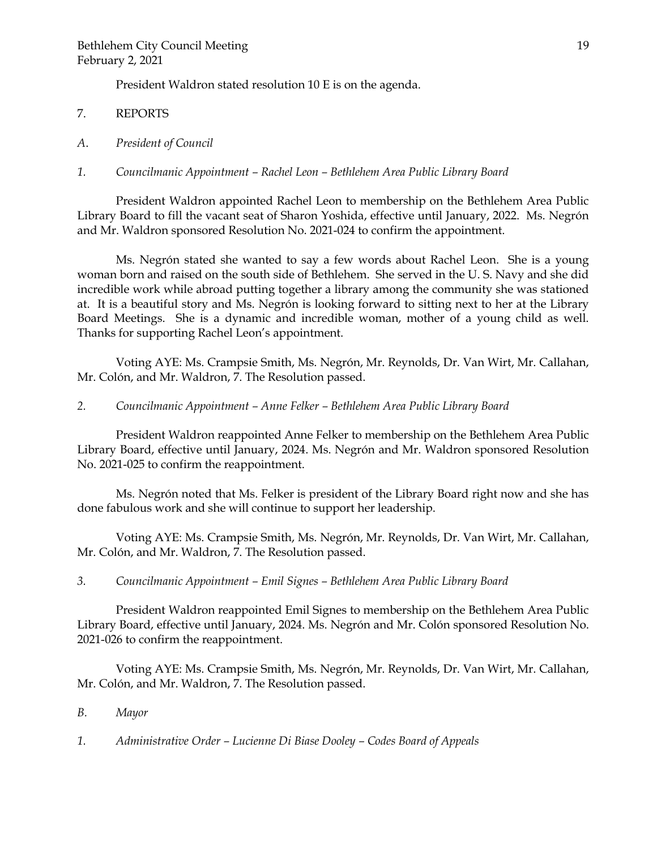President Waldron stated resolution 10 E is on the agenda.

- 7. REPORTS
- *A*. *President of Council*
- *1. Councilmanic Appointment – Rachel Leon – Bethlehem Area Public Library Board*

President Waldron appointed Rachel Leon to membership on the Bethlehem Area Public Library Board to fill the vacant seat of Sharon Yoshida, effective until January, 2022. Ms. Negrón and Mr. Waldron sponsored Resolution No. 2021-024 to confirm the appointment.

Ms. Negrón stated she wanted to say a few words about Rachel Leon. She is a young woman born and raised on the south side of Bethlehem. She served in the U. S. Navy and she did incredible work while abroad putting together a library among the community she was stationed at. It is a beautiful story and Ms. Negrón is looking forward to sitting next to her at the Library Board Meetings. She is a dynamic and incredible woman, mother of a young child as well. Thanks for supporting Rachel Leon's appointment.

Voting AYE: Ms. Crampsie Smith, Ms. Negrón, Mr. Reynolds, Dr. Van Wirt, Mr. Callahan, Mr. Colón, and Mr. Waldron, 7. The Resolution passed.

*2. Councilmanic Appointment – Anne Felker – Bethlehem Area Public Library Board*

President Waldron reappointed Anne Felker to membership on the Bethlehem Area Public Library Board, effective until January, 2024. Ms. Negrón and Mr. Waldron sponsored Resolution No. 2021-025 to confirm the reappointment.

Ms. Negrón noted that Ms. Felker is president of the Library Board right now and she has done fabulous work and she will continue to support her leadership.

Voting AYE: Ms. Crampsie Smith, Ms. Negrón, Mr. Reynolds, Dr. Van Wirt, Mr. Callahan, Mr. Colón, and Mr. Waldron, 7. The Resolution passed.

*3. Councilmanic Appointment – Emil Signes – Bethlehem Area Public Library Board*

President Waldron reappointed Emil Signes to membership on the Bethlehem Area Public Library Board, effective until January, 2024. Ms. Negrón and Mr. Colón sponsored Resolution No. 2021-026 to confirm the reappointment.

Voting AYE: Ms. Crampsie Smith, Ms. Negrón, Mr. Reynolds, Dr. Van Wirt, Mr. Callahan, Mr. Colón, and Mr. Waldron, 7. The Resolution passed.

- *B. Mayor*
- *1. Administrative Order – Lucienne Di Biase Dooley – Codes Board of Appeals*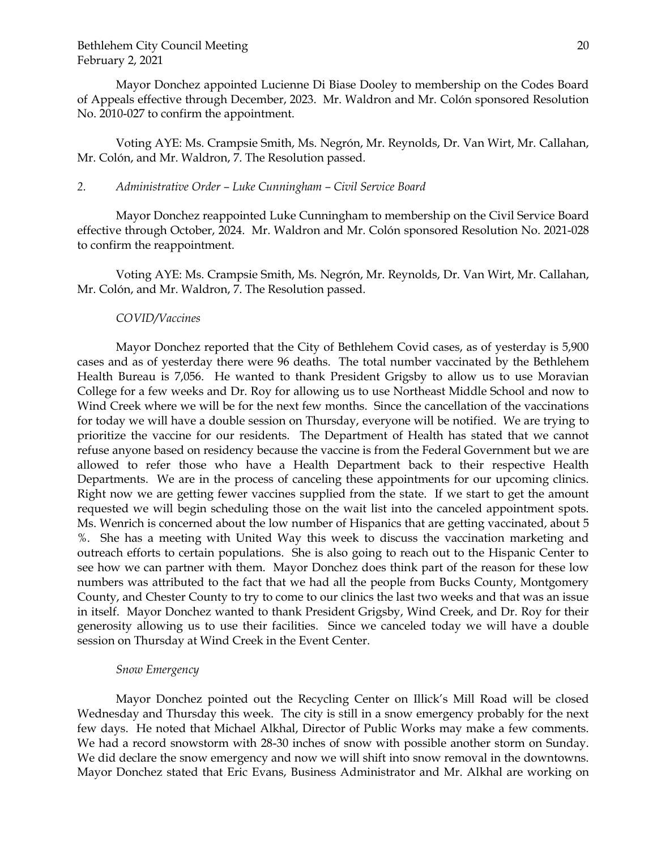Mayor Donchez appointed Lucienne Di Biase Dooley to membership on the Codes Board of Appeals effective through December, 2023. Mr. Waldron and Mr. Colón sponsored Resolution No. 2010-027 to confirm the appointment.

Voting AYE: Ms. Crampsie Smith, Ms. Negrón, Mr. Reynolds, Dr. Van Wirt, Mr. Callahan, Mr. Colón, and Mr. Waldron, 7. The Resolution passed.

#### *2. Administrative Order – Luke Cunningham – Civil Service Board*

Mayor Donchez reappointed Luke Cunningham to membership on the Civil Service Board effective through October, 2024. Mr. Waldron and Mr. Colón sponsored Resolution No. 2021-028 to confirm the reappointment.

Voting AYE: Ms. Crampsie Smith, Ms. Negrón, Mr. Reynolds, Dr. Van Wirt, Mr. Callahan, Mr. Colón, and Mr. Waldron, 7. The Resolution passed.

#### *COVID/Vaccines*

Mayor Donchez reported that the City of Bethlehem Covid cases, as of yesterday is 5,900 cases and as of yesterday there were 96 deaths. The total number vaccinated by the Bethlehem Health Bureau is 7,056. He wanted to thank President Grigsby to allow us to use Moravian College for a few weeks and Dr. Roy for allowing us to use Northeast Middle School and now to Wind Creek where we will be for the next few months. Since the cancellation of the vaccinations for today we will have a double session on Thursday, everyone will be notified. We are trying to prioritize the vaccine for our residents. The Department of Health has stated that we cannot refuse anyone based on residency because the vaccine is from the Federal Government but we are allowed to refer those who have a Health Department back to their respective Health Departments. We are in the process of canceling these appointments for our upcoming clinics. Right now we are getting fewer vaccines supplied from the state. If we start to get the amount requested we will begin scheduling those on the wait list into the canceled appointment spots. Ms. Wenrich is concerned about the low number of Hispanics that are getting vaccinated, about 5 %. She has a meeting with United Way this week to discuss the vaccination marketing and outreach efforts to certain populations. She is also going to reach out to the Hispanic Center to see how we can partner with them. Mayor Donchez does think part of the reason for these low numbers was attributed to the fact that we had all the people from Bucks County, Montgomery County, and Chester County to try to come to our clinics the last two weeks and that was an issue in itself. Mayor Donchez wanted to thank President Grigsby, Wind Creek, and Dr. Roy for their generosity allowing us to use their facilities. Since we canceled today we will have a double session on Thursday at Wind Creek in the Event Center.

#### *Snow Emergency*

Mayor Donchez pointed out the Recycling Center on Illick's Mill Road will be closed Wednesday and Thursday this week. The city is still in a snow emergency probably for the next few days. He noted that Michael Alkhal, Director of Public Works may make a few comments. We had a record snowstorm with 28-30 inches of snow with possible another storm on Sunday. We did declare the snow emergency and now we will shift into snow removal in the downtowns. Mayor Donchez stated that Eric Evans, Business Administrator and Mr. Alkhal are working on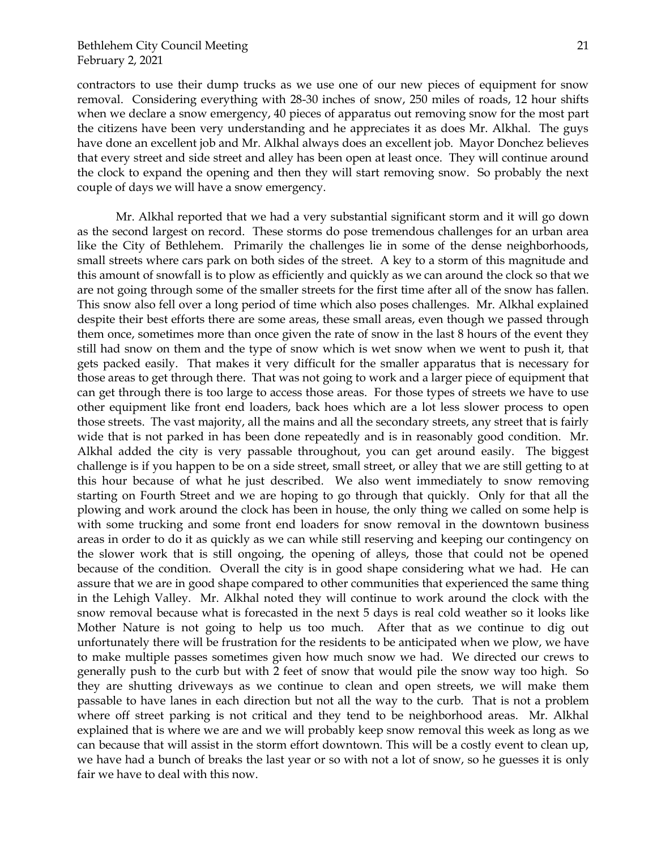contractors to use their dump trucks as we use one of our new pieces of equipment for snow removal. Considering everything with 28-30 inches of snow, 250 miles of roads, 12 hour shifts when we declare a snow emergency, 40 pieces of apparatus out removing snow for the most part the citizens have been very understanding and he appreciates it as does Mr. Alkhal. The guys have done an excellent job and Mr. Alkhal always does an excellent job. Mayor Donchez believes that every street and side street and alley has been open at least once. They will continue around the clock to expand the opening and then they will start removing snow. So probably the next couple of days we will have a snow emergency.

Mr. Alkhal reported that we had a very substantial significant storm and it will go down as the second largest on record. These storms do pose tremendous challenges for an urban area like the City of Bethlehem. Primarily the challenges lie in some of the dense neighborhoods, small streets where cars park on both sides of the street. A key to a storm of this magnitude and this amount of snowfall is to plow as efficiently and quickly as we can around the clock so that we are not going through some of the smaller streets for the first time after all of the snow has fallen. This snow also fell over a long period of time which also poses challenges. Mr. Alkhal explained despite their best efforts there are some areas, these small areas, even though we passed through them once, sometimes more than once given the rate of snow in the last 8 hours of the event they still had snow on them and the type of snow which is wet snow when we went to push it, that gets packed easily. That makes it very difficult for the smaller apparatus that is necessary for those areas to get through there. That was not going to work and a larger piece of equipment that can get through there is too large to access those areas. For those types of streets we have to use other equipment like front end loaders, back hoes which are a lot less slower process to open those streets. The vast majority, all the mains and all the secondary streets, any street that is fairly wide that is not parked in has been done repeatedly and is in reasonably good condition. Mr. Alkhal added the city is very passable throughout, you can get around easily. The biggest challenge is if you happen to be on a side street, small street, or alley that we are still getting to at this hour because of what he just described. We also went immediately to snow removing starting on Fourth Street and we are hoping to go through that quickly. Only for that all the plowing and work around the clock has been in house, the only thing we called on some help is with some trucking and some front end loaders for snow removal in the downtown business areas in order to do it as quickly as we can while still reserving and keeping our contingency on the slower work that is still ongoing, the opening of alleys, those that could not be opened because of the condition. Overall the city is in good shape considering what we had. He can assure that we are in good shape compared to other communities that experienced the same thing in the Lehigh Valley. Mr. Alkhal noted they will continue to work around the clock with the snow removal because what is forecasted in the next 5 days is real cold weather so it looks like Mother Nature is not going to help us too much. After that as we continue to dig out unfortunately there will be frustration for the residents to be anticipated when we plow, we have to make multiple passes sometimes given how much snow we had. We directed our crews to generally push to the curb but with 2 feet of snow that would pile the snow way too high. So they are shutting driveways as we continue to clean and open streets, we will make them passable to have lanes in each direction but not all the way to the curb. That is not a problem where off street parking is not critical and they tend to be neighborhood areas. Mr. Alkhal explained that is where we are and we will probably keep snow removal this week as long as we can because that will assist in the storm effort downtown. This will be a costly event to clean up, we have had a bunch of breaks the last year or so with not a lot of snow, so he guesses it is only fair we have to deal with this now.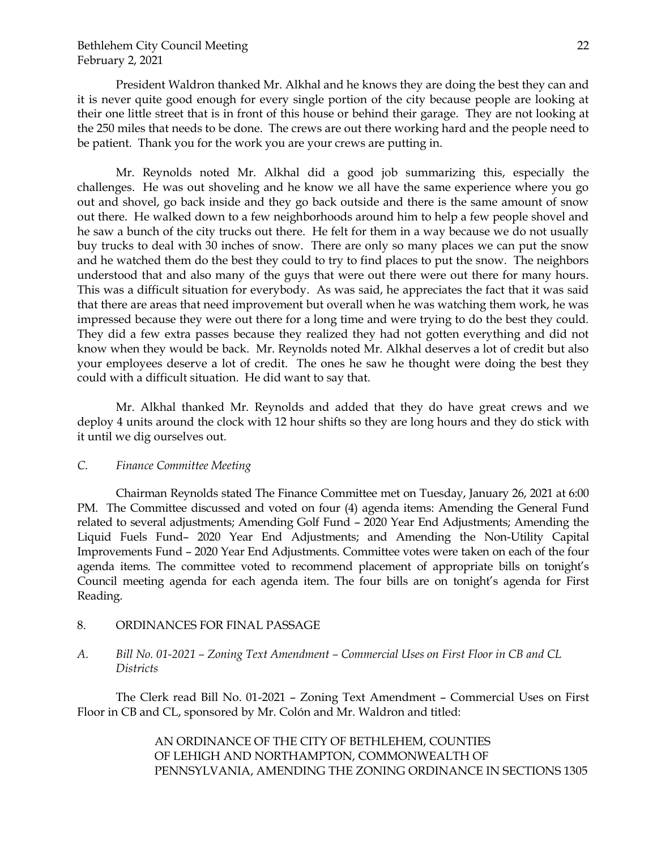President Waldron thanked Mr. Alkhal and he knows they are doing the best they can and it is never quite good enough for every single portion of the city because people are looking at their one little street that is in front of this house or behind their garage. They are not looking at the 250 miles that needs to be done. The crews are out there working hard and the people need to be patient. Thank you for the work you are your crews are putting in.

Mr. Reynolds noted Mr. Alkhal did a good job summarizing this, especially the challenges. He was out shoveling and he know we all have the same experience where you go out and shovel, go back inside and they go back outside and there is the same amount of snow out there. He walked down to a few neighborhoods around him to help a few people shovel and he saw a bunch of the city trucks out there. He felt for them in a way because we do not usually buy trucks to deal with 30 inches of snow. There are only so many places we can put the snow and he watched them do the best they could to try to find places to put the snow. The neighbors understood that and also many of the guys that were out there were out there for many hours. This was a difficult situation for everybody. As was said, he appreciates the fact that it was said that there are areas that need improvement but overall when he was watching them work, he was impressed because they were out there for a long time and were trying to do the best they could. They did a few extra passes because they realized they had not gotten everything and did not know when they would be back. Mr. Reynolds noted Mr. Alkhal deserves a lot of credit but also your employees deserve a lot of credit. The ones he saw he thought were doing the best they could with a difficult situation. He did want to say that.

Mr. Alkhal thanked Mr. Reynolds and added that they do have great crews and we deploy 4 units around the clock with 12 hour shifts so they are long hours and they do stick with it until we dig ourselves out.

#### *C. Finance Committee Meeting*

Chairman Reynolds stated The Finance Committee met on Tuesday, January 26, 2021 at 6:00 PM. The Committee discussed and voted on four (4) agenda items: Amending the General Fund related to several adjustments; Amending Golf Fund – 2020 Year End Adjustments; Amending the Liquid Fuels Fund– 2020 Year End Adjustments; and Amending the Non-Utility Capital Improvements Fund – 2020 Year End Adjustments. Committee votes were taken on each of the four agenda items. The committee voted to recommend placement of appropriate bills on tonight's Council meeting agenda for each agenda item. The four bills are on tonight's agenda for First Reading.

8. ORDINANCES FOR FINAL PASSAGE

# *A. Bill No. 01-2021 – Zoning Text Amendment – Commercial Uses on First Floor in CB and CL Districts*

The Clerk read Bill No. 01-2021 – Zoning Text Amendment – Commercial Uses on First Floor in CB and CL, sponsored by Mr. Colón and Mr. Waldron and titled:

> AN ORDINANCE OF THE CITY OF BETHLEHEM, COUNTIES OF LEHIGH AND NORTHAMPTON, COMMONWEALTH OF PENNSYLVANIA, AMENDING THE ZONING ORDINANCE IN SECTIONS 1305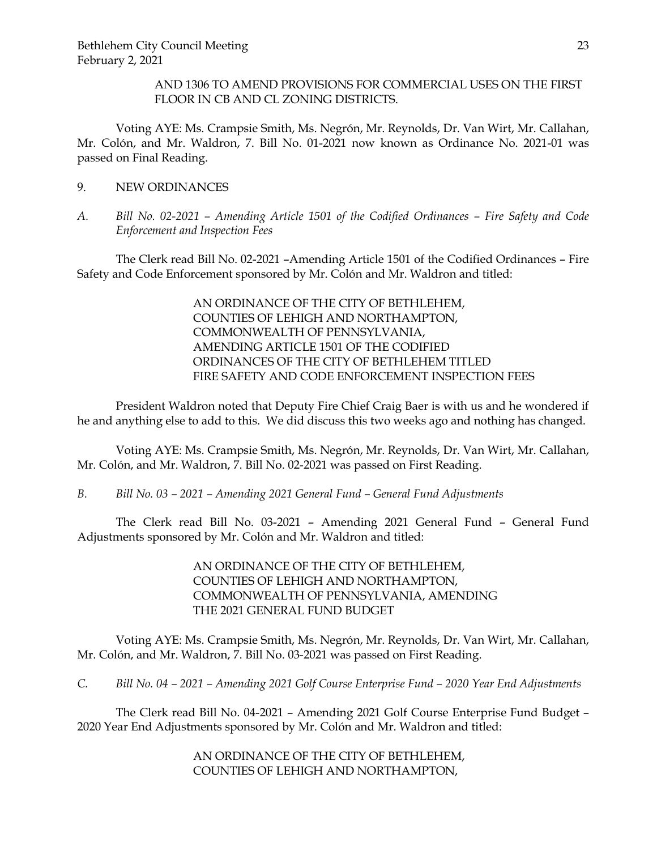AND 1306 TO AMEND PROVISIONS FOR COMMERCIAL USES ON THE FIRST FLOOR IN CB AND CL ZONING DISTRICTS.

Voting AYE: Ms. Crampsie Smith, Ms. Negrón, Mr. Reynolds, Dr. Van Wirt, Mr. Callahan, Mr. Colón, and Mr. Waldron, 7. Bill No. 01-2021 now known as Ordinance No. 2021-01 was passed on Final Reading.

- 9. NEW ORDINANCES
- *A. Bill No. 02-2021 – Amending Article 1501 of the Codified Ordinances – Fire Safety and Code Enforcement and Inspection Fees*

The Clerk read Bill No. 02-2021 –Amending Article 1501 of the Codified Ordinances – Fire Safety and Code Enforcement sponsored by Mr. Colón and Mr. Waldron and titled:

> AN ORDINANCE OF THE CITY OF BETHLEHEM, COUNTIES OF LEHIGH AND NORTHAMPTON, COMMONWEALTH OF PENNSYLVANIA, AMENDING ARTICLE 1501 OF THE CODIFIED ORDINANCES OF THE CITY OF BETHLEHEM TITLED FIRE SAFETY AND CODE ENFORCEMENT INSPECTION FEES

President Waldron noted that Deputy Fire Chief Craig Baer is with us and he wondered if he and anything else to add to this. We did discuss this two weeks ago and nothing has changed.

Voting AYE: Ms. Crampsie Smith, Ms. Negrón, Mr. Reynolds, Dr. Van Wirt, Mr. Callahan, Mr. Colón, and Mr. Waldron, 7. Bill No. 02-2021 was passed on First Reading.

*B. Bill No. 03 – 2021 – Amending 2021 General Fund – General Fund Adjustments*

The Clerk read Bill No. 03-2021 – Amending 2021 General Fund – General Fund Adjustments sponsored by Mr. Colón and Mr. Waldron and titled:

> AN ORDINANCE OF THE CITY OF BETHLEHEM, COUNTIES OF LEHIGH AND NORTHAMPTON, COMMONWEALTH OF PENNSYLVANIA, AMENDING THE 2021 GENERAL FUND BUDGET

Voting AYE: Ms. Crampsie Smith, Ms. Negrón, Mr. Reynolds, Dr. Van Wirt, Mr. Callahan, Mr. Colón, and Mr. Waldron, 7. Bill No. 03-2021 was passed on First Reading.

*C. Bill No. 04 – 2021 – Amending 2021 Golf Course Enterprise Fund – 2020 Year End Adjustments*

The Clerk read Bill No. 04-2021 – Amending 2021 Golf Course Enterprise Fund Budget – 2020 Year End Adjustments sponsored by Mr. Colón and Mr. Waldron and titled:

> AN ORDINANCE OF THE CITY OF BETHLEHEM, COUNTIES OF LEHIGH AND NORTHAMPTON,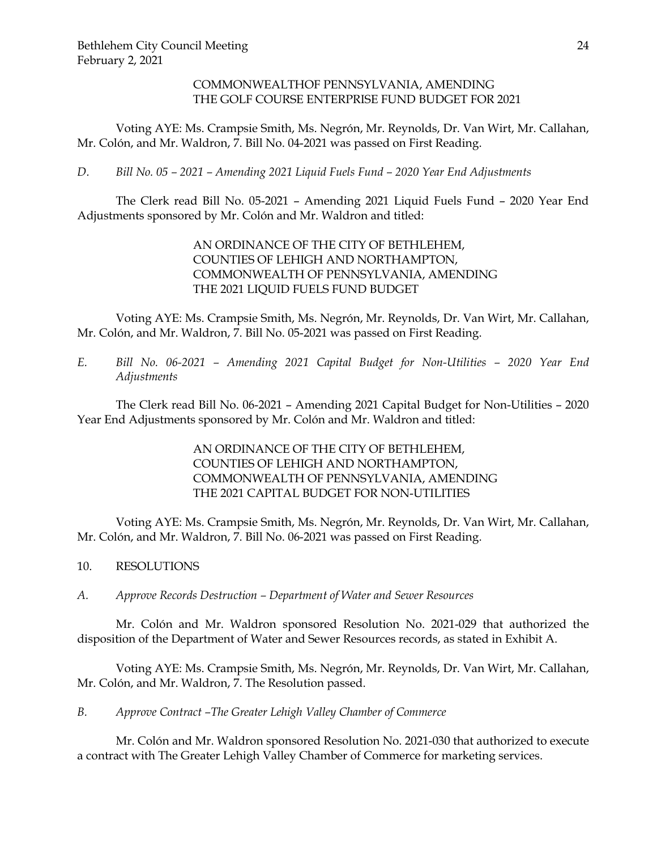## COMMONWEALTHOF PENNSYLVANIA, AMENDING THE GOLF COURSE ENTERPRISE FUND BUDGET FOR 2021

Voting AYE: Ms. Crampsie Smith, Ms. Negrón, Mr. Reynolds, Dr. Van Wirt, Mr. Callahan, Mr. Colón, and Mr. Waldron, 7. Bill No. 04-2021 was passed on First Reading.

*D. Bill No. 05 – 2021 – Amending 2021 Liquid Fuels Fund – 2020 Year End Adjustments*

The Clerk read Bill No. 05-2021 – Amending 2021 Liquid Fuels Fund – 2020 Year End Adjustments sponsored by Mr. Colón and Mr. Waldron and titled:

> AN ORDINANCE OF THE CITY OF BETHLEHEM, COUNTIES OF LEHIGH AND NORTHAMPTON, COMMONWEALTH OF PENNSYLVANIA, AMENDING THE 2021 LIQUID FUELS FUND BUDGET

Voting AYE: Ms. Crampsie Smith, Ms. Negrón, Mr. Reynolds, Dr. Van Wirt, Mr. Callahan, Mr. Colón, and Mr. Waldron, 7. Bill No. 05-2021 was passed on First Reading.

*E. Bill No. 06-2021 – Amending 2021 Capital Budget for Non-Utilities – 2020 Year End Adjustments*

The Clerk read Bill No. 06-2021 – Amending 2021 Capital Budget for Non-Utilities – 2020 Year End Adjustments sponsored by Mr. Colón and Mr. Waldron and titled:

> AN ORDINANCE OF THE CITY OF BETHLEHEM, COUNTIES OF LEHIGH AND NORTHAMPTON, COMMONWEALTH OF PENNSYLVANIA, AMENDING THE 2021 CAPITAL BUDGET FOR NON-UTILITIES

Voting AYE: Ms. Crampsie Smith, Ms. Negrón, Mr. Reynolds, Dr. Van Wirt, Mr. Callahan, Mr. Colón, and Mr. Waldron, 7. Bill No. 06-2021 was passed on First Reading.

- 10. RESOLUTIONS
- *A. Approve Records Destruction – Department of Water and Sewer Resources*

Mr. Colón and Mr. Waldron sponsored Resolution No. 2021-029 that authorized the disposition of the Department of Water and Sewer Resources records, as stated in Exhibit A.

Voting AYE: Ms. Crampsie Smith, Ms. Negrón, Mr. Reynolds, Dr. Van Wirt, Mr. Callahan, Mr. Colón, and Mr. Waldron, 7. The Resolution passed.

*B. Approve Contract –The Greater Lehigh Valley Chamber of Commerce*

Mr. Colón and Mr. Waldron sponsored Resolution No. 2021-030 that authorized to execute a contract with The Greater Lehigh Valley Chamber of Commerce for marketing services.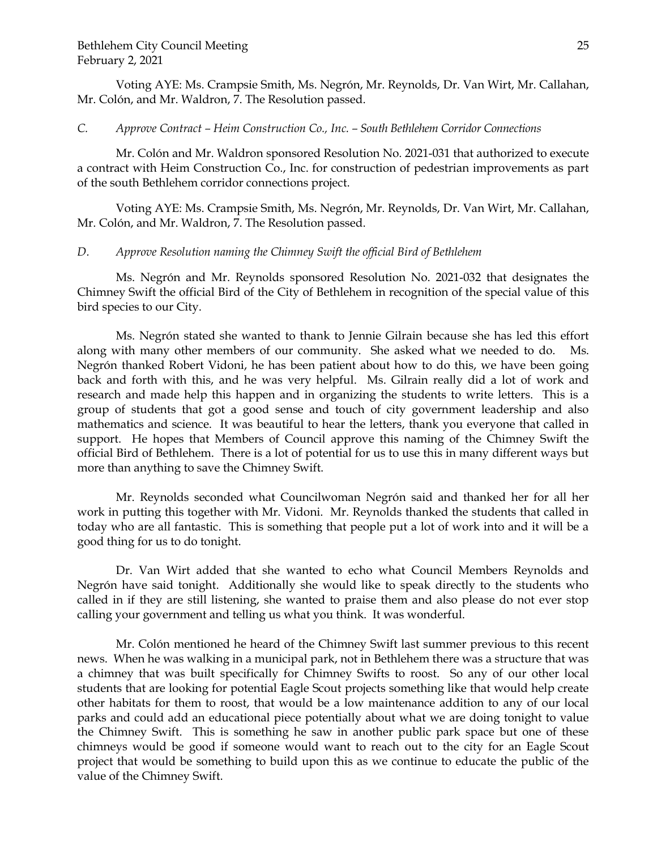Voting AYE: Ms. Crampsie Smith, Ms. Negrón, Mr. Reynolds, Dr. Van Wirt, Mr. Callahan, Mr. Colón, and Mr. Waldron, 7. The Resolution passed.

#### *C. Approve Contract – Heim Construction Co., Inc. – South Bethlehem Corridor Connections*

Mr. Colón and Mr. Waldron sponsored Resolution No. 2021-031 that authorized to execute a contract with Heim Construction Co., Inc. for construction of pedestrian improvements as part of the south Bethlehem corridor connections project.

Voting AYE: Ms. Crampsie Smith, Ms. Negrón, Mr. Reynolds, Dr. Van Wirt, Mr. Callahan, Mr. Colón, and Mr. Waldron, 7. The Resolution passed.

#### *D. Approve Resolution naming the Chimney Swift the official Bird of Bethlehem*

Ms. Negrón and Mr. Reynolds sponsored Resolution No. 2021-032 that designates the Chimney Swift the official Bird of the City of Bethlehem in recognition of the special value of this bird species to our City.

Ms. Negrón stated she wanted to thank to Jennie Gilrain because she has led this effort along with many other members of our community. She asked what we needed to do. Ms. Negrón thanked Robert Vidoni, he has been patient about how to do this, we have been going back and forth with this, and he was very helpful. Ms. Gilrain really did a lot of work and research and made help this happen and in organizing the students to write letters. This is a group of students that got a good sense and touch of city government leadership and also mathematics and science. It was beautiful to hear the letters, thank you everyone that called in support. He hopes that Members of Council approve this naming of the Chimney Swift the official Bird of Bethlehem. There is a lot of potential for us to use this in many different ways but more than anything to save the Chimney Swift.

Mr. Reynolds seconded what Councilwoman Negrón said and thanked her for all her work in putting this together with Mr. Vidoni. Mr. Reynolds thanked the students that called in today who are all fantastic. This is something that people put a lot of work into and it will be a good thing for us to do tonight.

Dr. Van Wirt added that she wanted to echo what Council Members Reynolds and Negrón have said tonight. Additionally she would like to speak directly to the students who called in if they are still listening, she wanted to praise them and also please do not ever stop calling your government and telling us what you think. It was wonderful.

Mr. Colón mentioned he heard of the Chimney Swift last summer previous to this recent news. When he was walking in a municipal park, not in Bethlehem there was a structure that was a chimney that was built specifically for Chimney Swifts to roost. So any of our other local students that are looking for potential Eagle Scout projects something like that would help create other habitats for them to roost, that would be a low maintenance addition to any of our local parks and could add an educational piece potentially about what we are doing tonight to value the Chimney Swift. This is something he saw in another public park space but one of these chimneys would be good if someone would want to reach out to the city for an Eagle Scout project that would be something to build upon this as we continue to educate the public of the value of the Chimney Swift.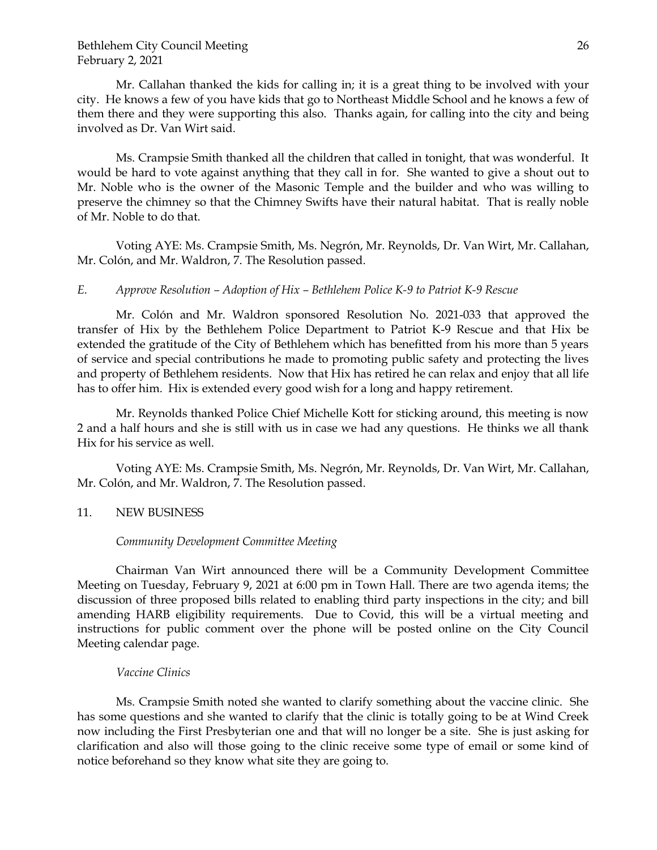Mr. Callahan thanked the kids for calling in; it is a great thing to be involved with your city. He knows a few of you have kids that go to Northeast Middle School and he knows a few of them there and they were supporting this also. Thanks again, for calling into the city and being involved as Dr. Van Wirt said.

Ms. Crampsie Smith thanked all the children that called in tonight, that was wonderful. It would be hard to vote against anything that they call in for. She wanted to give a shout out to Mr. Noble who is the owner of the Masonic Temple and the builder and who was willing to preserve the chimney so that the Chimney Swifts have their natural habitat. That is really noble of Mr. Noble to do that.

Voting AYE: Ms. Crampsie Smith, Ms. Negrón, Mr. Reynolds, Dr. Van Wirt, Mr. Callahan, Mr. Colón, and Mr. Waldron, 7. The Resolution passed.

#### *E. Approve Resolution – Adoption of Hix – Bethlehem Police K-9 to Patriot K-9 Rescue*

Mr. Colón and Mr. Waldron sponsored Resolution No. 2021-033 that approved the transfer of Hix by the Bethlehem Police Department to Patriot K-9 Rescue and that Hix be extended the gratitude of the City of Bethlehem which has benefitted from his more than 5 years of service and special contributions he made to promoting public safety and protecting the lives and property of Bethlehem residents. Now that Hix has retired he can relax and enjoy that all life has to offer him. Hix is extended every good wish for a long and happy retirement.

Mr. Reynolds thanked Police Chief Michelle Kott for sticking around, this meeting is now 2 and a half hours and she is still with us in case we had any questions. He thinks we all thank Hix for his service as well.

Voting AYE: Ms. Crampsie Smith, Ms. Negrón, Mr. Reynolds, Dr. Van Wirt, Mr. Callahan, Mr. Colón, and Mr. Waldron, 7. The Resolution passed.

#### 11. NEW BUSINESS

#### *Community Development Committee Meeting*

Chairman Van Wirt announced there will be a Community Development Committee Meeting on Tuesday, February 9, 2021 at 6:00 pm in Town Hall. There are two agenda items; the discussion of three proposed bills related to enabling third party inspections in the city; and bill amending HARB eligibility requirements. Due to Covid, this will be a virtual meeting and instructions for public comment over the phone will be posted online on the City Council Meeting calendar page.

#### *Vaccine Clinics*

Ms. Crampsie Smith noted she wanted to clarify something about the vaccine clinic. She has some questions and she wanted to clarify that the clinic is totally going to be at Wind Creek now including the First Presbyterian one and that will no longer be a site. She is just asking for clarification and also will those going to the clinic receive some type of email or some kind of notice beforehand so they know what site they are going to.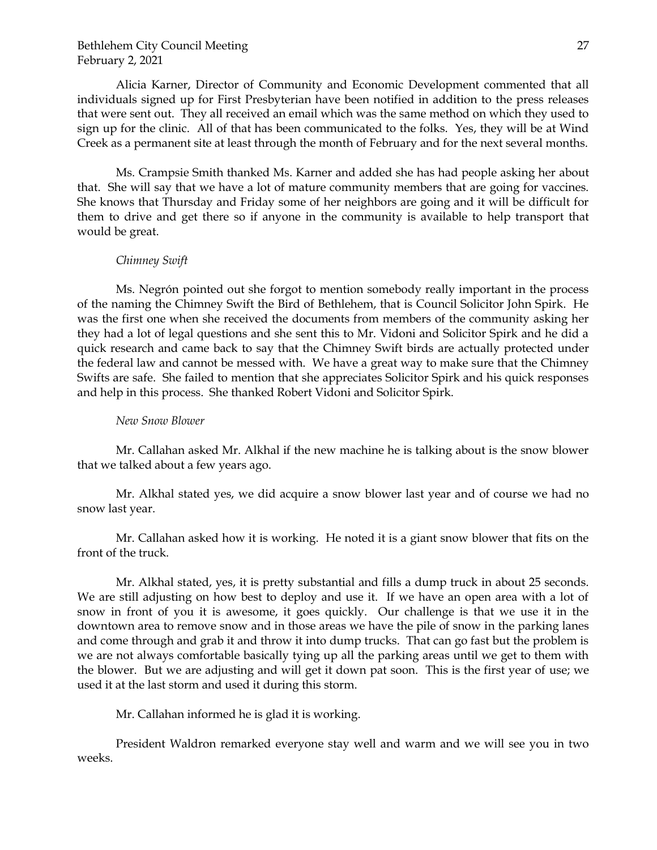Alicia Karner, Director of Community and Economic Development commented that all individuals signed up for First Presbyterian have been notified in addition to the press releases that were sent out. They all received an email which was the same method on which they used to sign up for the clinic. All of that has been communicated to the folks. Yes, they will be at Wind Creek as a permanent site at least through the month of February and for the next several months.

Ms. Crampsie Smith thanked Ms. Karner and added she has had people asking her about that. She will say that we have a lot of mature community members that are going for vaccines. She knows that Thursday and Friday some of her neighbors are going and it will be difficult for them to drive and get there so if anyone in the community is available to help transport that would be great.

### *Chimney Swift*

Ms. Negrón pointed out she forgot to mention somebody really important in the process of the naming the Chimney Swift the Bird of Bethlehem, that is Council Solicitor John Spirk. He was the first one when she received the documents from members of the community asking her they had a lot of legal questions and she sent this to Mr. Vidoni and Solicitor Spirk and he did a quick research and came back to say that the Chimney Swift birds are actually protected under the federal law and cannot be messed with. We have a great way to make sure that the Chimney Swifts are safe. She failed to mention that she appreciates Solicitor Spirk and his quick responses and help in this process. She thanked Robert Vidoni and Solicitor Spirk.

#### *New Snow Blower*

Mr. Callahan asked Mr. Alkhal if the new machine he is talking about is the snow blower that we talked about a few years ago.

Mr. Alkhal stated yes, we did acquire a snow blower last year and of course we had no snow last year.

Mr. Callahan asked how it is working. He noted it is a giant snow blower that fits on the front of the truck.

Mr. Alkhal stated, yes, it is pretty substantial and fills a dump truck in about 25 seconds. We are still adjusting on how best to deploy and use it. If we have an open area with a lot of snow in front of you it is awesome, it goes quickly. Our challenge is that we use it in the downtown area to remove snow and in those areas we have the pile of snow in the parking lanes and come through and grab it and throw it into dump trucks. That can go fast but the problem is we are not always comfortable basically tying up all the parking areas until we get to them with the blower. But we are adjusting and will get it down pat soon. This is the first year of use; we used it at the last storm and used it during this storm.

Mr. Callahan informed he is glad it is working.

President Waldron remarked everyone stay well and warm and we will see you in two weeks.